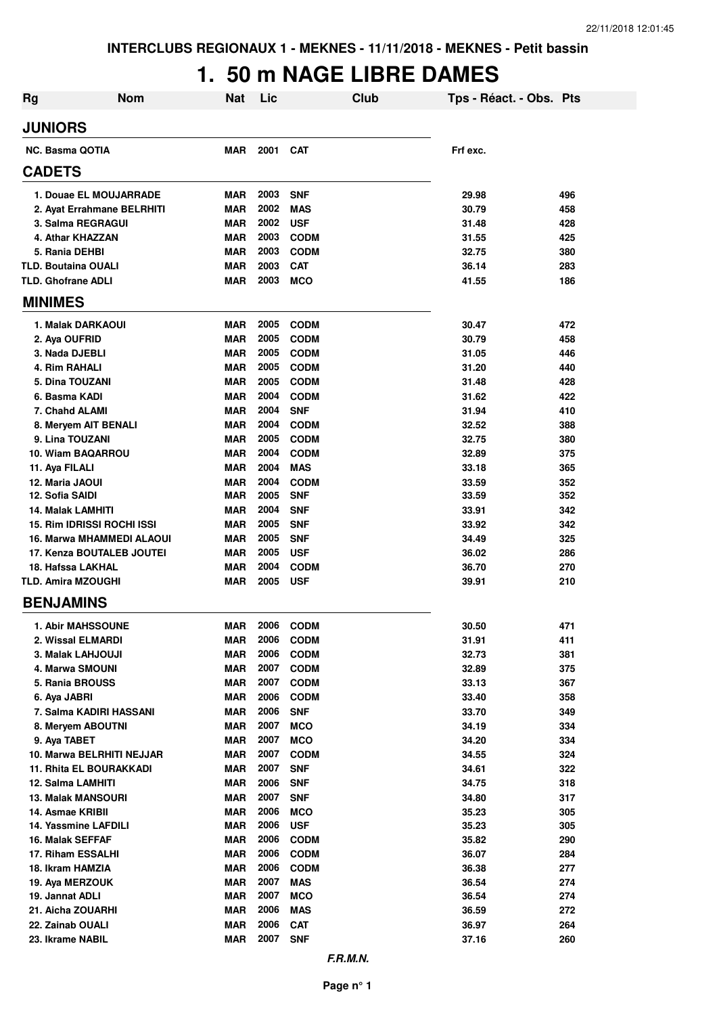# **1. 50 m NAGE LIBRE DAMES**

| <b>Rg</b>                                | <b>Nom</b>                       | <b>Nat</b>               | Lic          |                           | <b>Club</b> | Tps - Réact. - Obs. Pts |            |
|------------------------------------------|----------------------------------|--------------------------|--------------|---------------------------|-------------|-------------------------|------------|
| <b>JUNIORS</b>                           |                                  |                          |              |                           |             |                         |            |
| <b>NC. Basma QOTIA</b>                   |                                  | <b>MAR</b>               | 2001         | <b>CAT</b>                |             | Frf exc.                |            |
| <b>CADETS</b>                            |                                  |                          |              |                           |             |                         |            |
|                                          | 1. Douae EL MOUJARRADE           | <b>MAR</b>               | 2003         | <b>SNF</b>                |             | 29.98                   | 496        |
|                                          | 2. Ayat Errahmane BELRHITI       | <b>MAR</b>               | 2002         | <b>MAS</b>                |             | 30.79                   | 458        |
| 3. Salma REGRAGUI                        |                                  | <b>MAR</b>               | 2002         | <b>USF</b>                |             | 31.48                   | 428        |
| 4. Athar KHAZZAN                         |                                  | <b>MAR</b>               | 2003         | <b>CODM</b>               |             | 31.55                   | 425        |
| 5. Rania DEHBI                           |                                  | <b>MAR</b>               | 2003         | <b>CODM</b>               |             | 32.75                   | 380        |
| <b>TLD. Boutaina OUALI</b>               |                                  | <b>MAR</b>               | 2003         | <b>CAT</b>                |             | 36.14                   | 283        |
| <b>TLD. Ghofrane ADLI</b>                |                                  | <b>MAR</b>               | 2003         | <b>MCO</b>                |             | 41.55                   | 186        |
| <b>MINIMES</b>                           |                                  |                          |              |                           |             |                         |            |
| 1. Malak DARKAOUI                        |                                  | <b>MAR</b>               | 2005         | <b>CODM</b>               |             | 30.47                   | 472        |
| 2. Aya OUFRID                            |                                  | <b>MAR</b>               | 2005         | <b>CODM</b>               |             | 30.79                   | 458        |
| 3. Nada DJEBLI                           |                                  | <b>MAR</b>               | 2005         | <b>CODM</b>               |             | 31.05                   | 446        |
| 4. Rim RAHALI                            |                                  | <b>MAR</b>               | 2005         | <b>CODM</b>               |             | 31.20                   | 440        |
| 5. Dina TOUZANI                          |                                  | <b>MAR</b>               | 2005         | <b>CODM</b>               |             | 31.48                   | 428        |
| 6. Basma KADI                            |                                  | <b>MAR</b>               | 2004         | <b>CODM</b>               |             | 31.62                   | 422        |
| 7. Chahd ALAMI                           |                                  | <b>MAR</b>               | 2004         | <b>SNF</b>                |             | 31.94                   | 410        |
| 8. Meryem AIT BENALI                     |                                  | <b>MAR</b>               | 2004         | <b>CODM</b>               |             | 32.52                   | 388        |
| 9. Lina TOUZANI                          |                                  | <b>MAR</b>               | 2005         | <b>CODM</b>               |             | 32.75                   | 380        |
| 10. Wiam BAQARROU                        |                                  | <b>MAR</b>               | 2004         | <b>CODM</b>               |             | 32.89                   | 375        |
| 11. Aya FILALI                           |                                  | <b>MAR</b>               | 2004         | <b>MAS</b>                |             | 33.18                   | 365        |
| 12. Maria JAOUI<br>12. Sofia SAIDI       |                                  | <b>MAR</b><br><b>MAR</b> | 2004<br>2005 | <b>CODM</b><br><b>SNF</b> |             | 33.59<br>33.59          | 352<br>352 |
| 14. Malak LAMHITI                        |                                  | <b>MAR</b>               | 2004         | <b>SNF</b>                |             | 33.91                   | 342        |
| 15. Rim IDRISSI ROCHI ISSI               |                                  | <b>MAR</b>               | 2005         | <b>SNF</b>                |             | 33.92                   | 342        |
|                                          | <b>16. Marwa MHAMMEDI ALAOUI</b> | <b>MAR</b>               | 2005         | <b>SNF</b>                |             | 34.49                   | 325        |
|                                          | 17. Kenza BOUTALEB JOUTEI        | <b>MAR</b>               | 2005         | <b>USF</b>                |             | 36.02                   | 286        |
| 18. Hafssa LAKHAL                        |                                  | <b>MAR</b>               | 2004         | <b>CODM</b>               |             | 36.70                   | 270        |
| <b>TLD. Amira MZOUGHI</b>                |                                  | <b>MAR</b>               | 2005         | <b>USF</b>                |             | 39.91                   | 210        |
| <b>BENJAMINS</b>                         |                                  |                          |              |                           |             |                         |            |
| <b>1. Abir MAHSSOUNE</b>                 |                                  | MAR                      | 2006         | <b>CODM</b>               |             | 30.50                   | 471        |
| 2. Wissal ELMARDI                        |                                  | <b>MAR</b>               | 2006         | <b>CODM</b>               |             | 31.91                   | 411        |
| 3. Malak LAHJOUJI                        |                                  | <b>MAR</b>               | 2006         | <b>CODM</b>               |             | 32.73                   | 381        |
| 4. Marwa SMOUNI                          |                                  | <b>MAR</b>               | 2007         | <b>CODM</b>               |             | 32.89                   | 375        |
| 5. Rania BROUSS                          |                                  | <b>MAR</b>               | 2007         | <b>CODM</b>               |             | 33.13                   | 367        |
| 6. Aya JABRI                             |                                  | <b>MAR</b>               | 2006         | <b>CODM</b>               |             | 33.40                   | 358        |
| 7. Salma KADIRI HASSANI                  |                                  | <b>MAR</b>               | 2006         | <b>SNF</b>                |             | 33.70                   | 349        |
| 8. Mervem ABOUTNI                        |                                  | <b>MAR</b>               | 2007         | <b>MCO</b>                |             | 34.19                   | 334        |
| 9. Aya TABET                             |                                  | <b>MAR</b>               | 2007         | <b>MCO</b>                |             | 34.20                   | 334        |
| 10. Marwa BELRHITI NEJJAR                |                                  | <b>MAR</b>               | 2007         | <b>CODM</b>               |             | 34.55                   | 324        |
| <b>11. Rhita EL BOURAKKADI</b>           |                                  | <b>MAR</b>               | 2007         | <b>SNF</b>                |             | 34.61                   | 322        |
| 12. Salma LAMHITI                        |                                  | <b>MAR</b>               | 2006         | <b>SNF</b>                |             | 34.75                   | 318        |
| <b>13. Malak MANSOURI</b>                |                                  | <b>MAR</b>               | 2007         | <b>SNF</b>                |             | 34.80                   | 317        |
| 14. Asmae KRIBII                         |                                  | <b>MAR</b>               | 2006<br>2006 | <b>MCO</b>                |             | 35.23                   | 305        |
| 14. Yassmine LAFDILI<br>16. Malak SEFFAF |                                  | <b>MAR</b><br><b>MAR</b> | 2006         | <b>USF</b><br><b>CODM</b> |             | 35.23<br>35.82          | 305<br>290 |
| 17. Riham ESSALHI                        |                                  | <b>MAR</b>               | 2006         | <b>CODM</b>               |             | 36.07                   | 284        |
| 18. Ikram HAMZIA                         |                                  | <b>MAR</b>               | 2006         | <b>CODM</b>               |             | 36.38                   | 277        |
| 19. Aya MERZOUK                          |                                  | <b>MAR</b>               | 2007         | <b>MAS</b>                |             | 36.54                   | 274        |
| 19. Jannat ADLI                          |                                  | <b>MAR</b>               | 2007         | <b>MCO</b>                |             | 36.54                   | 274        |
| 21. Aicha ZOUARHI                        |                                  | <b>MAR</b>               | 2006         | <b>MAS</b>                |             | 36.59                   | 272        |
| 22. Zainab OUALI                         |                                  | <b>MAR</b>               | 2006         | <b>CAT</b>                |             | 36.97                   | 264        |
| 23. Ikrame NABIL                         |                                  | <b>MAR</b>               | 2007         | <b>SNF</b>                |             | 37.16                   | 260        |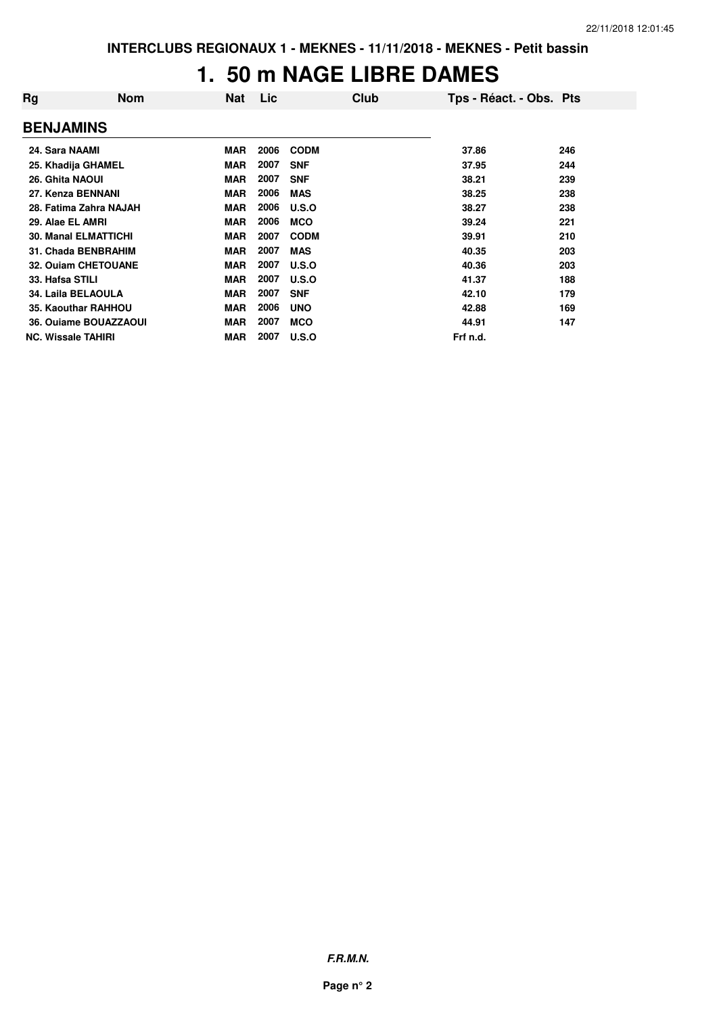#### **1. 50 m NAGE LIBRE DAMES**

| Rg                          | <b>Nom</b> | <b>Nat</b> | Lic  | Club        | Tps - Réact. - Obs. Pts |     |
|-----------------------------|------------|------------|------|-------------|-------------------------|-----|
| <b>BENJAMINS</b>            |            |            |      |             |                         |     |
| 24. Sara NAAMI              |            | <b>MAR</b> | 2006 | <b>CODM</b> | 37.86                   | 246 |
| 25. Khadija GHAMEL          |            | <b>MAR</b> | 2007 | <b>SNF</b>  | 37.95                   | 244 |
| 26. Ghita NAOUI             |            | <b>MAR</b> | 2007 | <b>SNF</b>  | 38.21                   | 239 |
| 27. Kenza BENNANI           |            | <b>MAR</b> | 2006 | <b>MAS</b>  | 38.25                   | 238 |
| 28. Fatima Zahra NAJAH      |            | <b>MAR</b> | 2006 | U.S.O       | 38.27                   | 238 |
| 29. Alae EL AMRI            |            | <b>MAR</b> | 2006 | <b>MCO</b>  | 39.24                   | 221 |
| <b>30. Manal ELMATTICHI</b> |            | <b>MAR</b> | 2007 | <b>CODM</b> | 39.91                   | 210 |
| 31. Chada BENBRAHIM         |            | <b>MAR</b> | 2007 | <b>MAS</b>  | 40.35                   | 203 |
| 32. Ouiam CHETOUANE         |            | <b>MAR</b> | 2007 | U.S.O       | 40.36                   | 203 |
| 33. Hafsa STILI             |            | <b>MAR</b> | 2007 | U.S.O       | 41.37                   | 188 |
| 34. Laila BELAOULA          |            | <b>MAR</b> | 2007 | <b>SNF</b>  | 42.10                   | 179 |
| 35. Kaouthar RAHHOU         |            | <b>MAR</b> | 2006 | <b>UNO</b>  | 42.88                   | 169 |
| 36. Ouiame BOUAZZAOUI       |            | <b>MAR</b> | 2007 | <b>MCO</b>  | 44.91                   | 147 |
| <b>NC. Wissale TAHIRI</b>   |            | <b>MAR</b> | 2007 | U.S.O       | Frf n.d.                |     |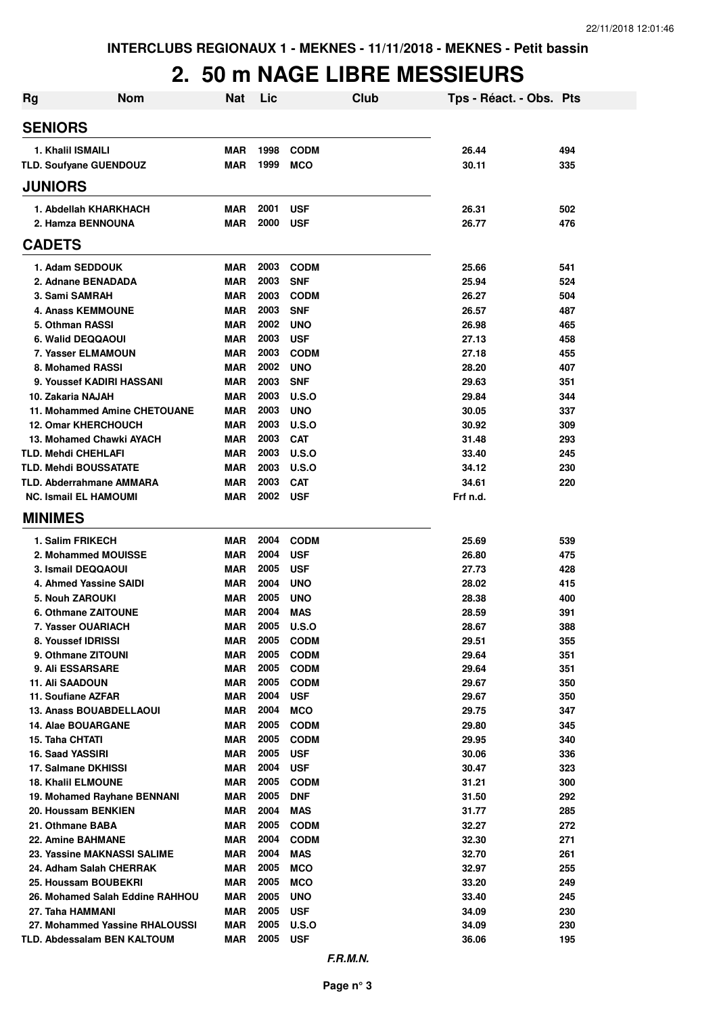### **2. 50 m NAGE LIBRE MESSIEURS**

| Rg                                                       | <b>Nom</b>                      | <b>Nat</b>        | Lic          |                           | Club | Tps - Réact. - Obs. Pts |            |
|----------------------------------------------------------|---------------------------------|-------------------|--------------|---------------------------|------|-------------------------|------------|
| <b>SENIORS</b>                                           |                                 |                   |              |                           |      |                         |            |
| 1. Khalil ISMAILI                                        |                                 | <b>MAR</b>        | 1998         | <b>CODM</b>               |      | 26.44                   | 494        |
| TLD. Soufyane GUENDOUZ                                   |                                 | MAR               | 1999         | <b>MCO</b>                |      | 30.11                   | 335        |
| <b>JUNIORS</b>                                           |                                 |                   |              |                           |      |                         |            |
| 1. Abdellah KHARKHACH                                    |                                 | <b>MAR</b>        | 2001         | <b>USF</b>                |      | 26.31                   | 502        |
| 2. Hamza BENNOUNA                                        |                                 | <b>MAR</b>        | 2000         | <b>USF</b>                |      | 26.77                   | 476        |
| <b>CADETS</b>                                            |                                 |                   |              |                           |      |                         |            |
| 1. Adam SEDDOUK                                          |                                 | MAR               | 2003         | <b>CODM</b>               |      | 25.66                   | 541        |
| 2. Adnane BENADADA                                       |                                 | <b>MAR</b>        | 2003         | <b>SNF</b>                |      | 25.94                   | 524        |
| 3. Sami SAMRAH                                           |                                 | <b>MAR</b>        | 2003         | <b>CODM</b>               |      | 26.27                   | 504        |
| 4. Anass KEMMOUNE                                        |                                 | <b>MAR</b>        | 2003         | <b>SNF</b>                |      | 26.57                   | 487        |
| 5. Othman RASSI                                          |                                 | <b>MAR</b>        | 2002         | <b>UNO</b>                |      | 26.98                   | 465        |
| 6. Walid DEQQAOUI                                        |                                 | <b>MAR</b>        | 2003         | <b>USF</b>                |      | 27.13                   | 458        |
| 7. Yasser ELMAMOUN                                       |                                 | <b>MAR</b>        | 2003         | <b>CODM</b>               |      | 27.18                   | 455        |
| 8. Mohamed RASSI                                         |                                 | <b>MAR</b>        | 2002         | <b>UNO</b>                |      | 28.20                   | 407        |
| 9. Youssef KADIRI HASSANI                                |                                 | MAR               | 2003         | <b>SNF</b>                |      | 29.63                   | 351        |
| 10. Zakaria NAJAH                                        |                                 | <b>MAR</b>        | 2003         | U.S.O                     |      | 29.84                   | 344        |
| 11. Mohammed Amine CHETOUANE                             |                                 | <b>MAR</b>        | 2003         | <b>UNO</b>                |      | 30.05                   | 337        |
| <b>12. Omar KHERCHOUCH</b>                               |                                 | MAR               | 2003         | U.S.O                     |      | 30.92                   | 309        |
| 13. Mohamed Chawki AYACH                                 |                                 | <b>MAR</b>        | 2003         | <b>CAT</b>                |      | 31.48                   | 293        |
| <b>TLD. Mehdi CHEHLAFI</b>                               |                                 | MAR               | 2003         | U.S.O                     |      | 33.40                   | 245        |
| <b>TLD. Mehdi BOUSSATATE</b>                             |                                 | MAR               | 2003         | U.S.O                     |      | 34.12                   | 230        |
| TLD. Abderrahmane AMMARA                                 |                                 | MAR               | 2003         | <b>CAT</b>                |      | 34.61                   | 220        |
| <b>NC. Ismail EL HAMOUMI</b>                             |                                 | <b>MAR</b>        | 2002         | <b>USF</b>                |      | Frf n.d.                |            |
| <b>MINIMES</b>                                           |                                 |                   |              |                           |      |                         |            |
| 1. Salim FRIKECH                                         |                                 | MAR               | 2004         | <b>CODM</b>               |      | 25.69                   | 539        |
| 2. Mohammed MOUISSE                                      |                                 | MAR               | 2004         | <b>USF</b>                |      | 26.80                   | 475        |
| 3. Ismail DEQQAOUI                                       |                                 | MAR               | 2005         | <b>USF</b>                |      | 27.73                   | 428        |
| 4. Ahmed Yassine SAIDI                                   |                                 | MAR               | 2004         | <b>UNO</b>                |      | 28.02                   | 415        |
| 5. Nouh ZAROUKI                                          |                                 | MAR               | 2005         | <b>UNO</b>                |      | 28.38                   | 400        |
| 6. Othmane ZAITOUNE                                      |                                 | MAR               | 2004         | <b>MAS</b>                |      | 28.59                   | 391        |
| 7. Yasser OUARIACH                                       |                                 | <b>MAR</b>        | 2005         | U.S.O                     |      | 28.67                   | 388        |
| 8. Youssef IDRISSI                                       |                                 | MAR               | 2005         | <b>CODM</b>               |      | 29.51                   | 355        |
| 9. Othmane ZITOUNI                                       |                                 | MAR               | 2005         | <b>CODM</b>               |      | 29.64                   | 351        |
| <b>9. Ali ESSARSARE</b>                                  |                                 | <b>MAR</b>        | 2005         | <b>CODM</b>               |      | 29.64                   | 351        |
| <b>11. Ali SAADOUN</b>                                   |                                 | <b>MAR</b>        | 2005         | <b>CODM</b>               |      | 29.67                   | 350        |
| 11. Soufiane AZFAR                                       |                                 | MAR               | 2004         | <b>USF</b>                |      | 29.67                   | 350        |
| <b>13. Anass BOUABDELLAOUI</b>                           |                                 | <b>MAR</b>        | 2004         | <b>MCO</b>                |      | 29.75                   | 347        |
| <b>14. Alae BOUARGANE</b>                                |                                 | MAR               | 2005         | <b>CODM</b>               |      | 29.80                   | 345        |
| 15. Taha CHTATI                                          |                                 | <b>MAR</b>        | 2005         | <b>CODM</b>               |      | 29.95                   | 340        |
| 16. Saad YASSIRI                                         |                                 | <b>MAR</b>        | 2005<br>2004 | <b>USF</b>                |      | 30.06                   | 336        |
| 17. Salmane DKHISSI                                      |                                 | <b>MAR</b>        | 2005         | <b>USF</b>                |      | 30.47<br>31.21          | 323<br>300 |
| <b>18. Khalil ELMOUNE</b><br>19. Mohamed Rayhane BENNANI |                                 | MAR<br><b>MAR</b> | 2005         | <b>CODM</b><br><b>DNF</b> |      | 31.50                   | 292        |
| 20. Houssam BENKIEN                                      |                                 | MAR               | 2004         | <b>MAS</b>                |      | 31.77                   | 285        |
| 21. Othmane BABA                                         |                                 | MAR               | 2005         | <b>CODM</b>               |      | 32.27                   | 272        |
| <b>22. Amine BAHMANE</b>                                 |                                 | MAR               | 2004         | <b>CODM</b>               |      | 32.30                   | 271        |
| 23. Yassine MAKNASSI SALIME                              |                                 | <b>MAR</b>        | 2004         | <b>MAS</b>                |      | 32.70                   | 261        |
| 24. Adham Salah CHERRAK                                  |                                 | MAR               | 2005         | <b>MCO</b>                |      | 32.97                   | 255        |
| 25. Houssam BOUBEKRI                                     |                                 | MAR               | 2005         | <b>MCO</b>                |      | 33.20                   | 249        |
|                                                          | 26. Mohamed Salah Eddine RAHHOU | <b>MAR</b>        | 2005         | <b>UNO</b>                |      | 33.40                   | 245        |
| 27. Taha HAMMANI                                         |                                 | <b>MAR</b>        | 2005         | <b>USF</b>                |      | 34.09                   | 230        |
|                                                          | 27. Mohammed Yassine RHALOUSSI  | MAR               | 2005         | U.S.O                     |      | 34.09                   | 230        |
| TLD. Abdessalam BEN KALTOUM                              |                                 | <b>MAR</b>        | 2005         | <b>USF</b>                |      | 36.06                   | 195        |
|                                                          |                                 |                   |              |                           |      |                         |            |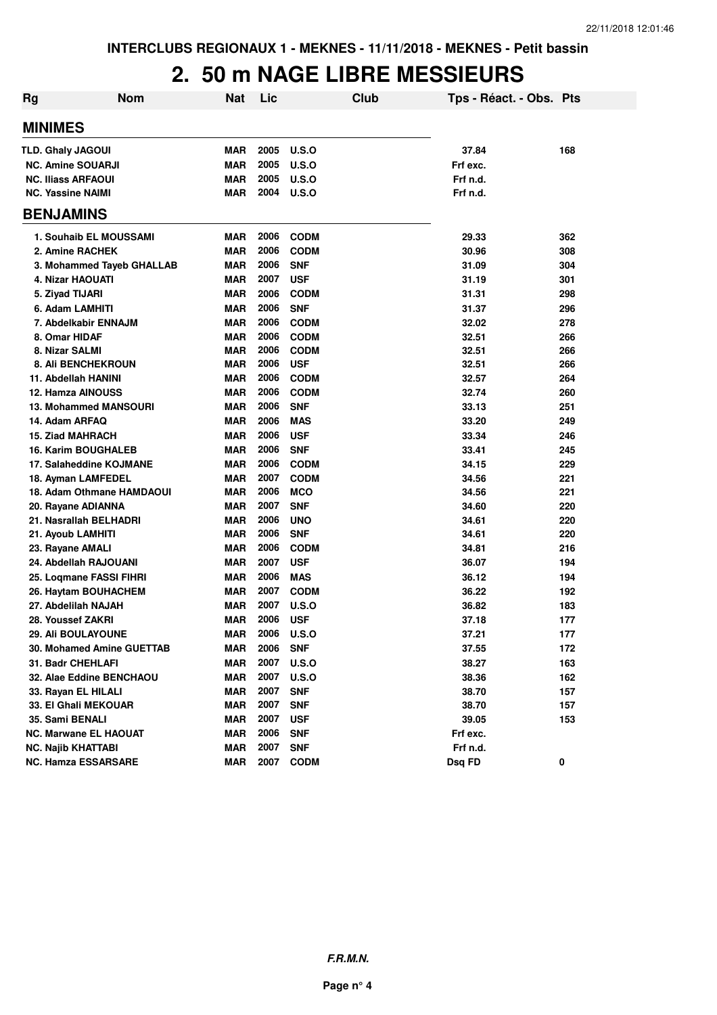#### **2. 50 m NAGE LIBRE MESSIEURS**

| <b>Rg</b> | <b>Nom</b>                                   | <b>Nat</b>               | Lic          |                          | <b>Club</b> | Tps - Réact. - Obs. Pts |            |
|-----------|----------------------------------------------|--------------------------|--------------|--------------------------|-------------|-------------------------|------------|
|           | <b>MINIMES</b>                               |                          |              |                          |             |                         |            |
|           | <b>TLD. Ghaly JAGOUI</b>                     | <b>MAR</b>               | 2005         | U.S.O                    |             | 37.84                   | 168        |
|           | <b>NC. Amine SOUARJI</b>                     | <b>MAR</b>               | 2005         | U.S.O                    |             | Frf exc.                |            |
|           | <b>NC. Iliass ARFAOUI</b>                    | <b>MAR</b>               | 2005         | U.S.O                    |             | Frf n.d.                |            |
|           | <b>NC. Yassine NAIMI</b>                     | <b>MAR</b>               | 2004         | U.S.O                    |             | Frf n.d.                |            |
|           | <b>BENJAMINS</b>                             |                          |              |                          |             |                         |            |
|           | 1. Souhaib EL MOUSSAMI                       | <b>MAR</b>               | 2006         | <b>CODM</b>              |             | 29.33                   | 362        |
|           | 2. Amine RACHEK                              | <b>MAR</b>               | 2006         | <b>CODM</b>              |             | 30.96                   | 308        |
|           | 3. Mohammed Tayeb GHALLAB                    | MAR                      | 2006         | <b>SNF</b>               |             | 31.09                   | 304        |
|           | 4. Nizar HAOUATI                             | <b>MAR</b>               | 2007         | <b>USF</b>               |             | 31.19                   | 301        |
|           | 5. Ziyad TIJARI                              | <b>MAR</b>               | 2006         | <b>CODM</b>              |             | 31.31                   | 298        |
|           | 6. Adam LAMHITI                              | <b>MAR</b>               | 2006         | <b>SNF</b>               |             | 31.37                   | 296        |
|           | 7. Abdelkabir ENNAJM                         | <b>MAR</b>               | 2006         | <b>CODM</b>              |             | 32.02                   | 278        |
|           | 8. Omar HIDAF                                | <b>MAR</b>               | 2006         | <b>CODM</b>              |             | 32.51                   | 266        |
|           | 8. Nizar SALMI                               | <b>MAR</b>               | 2006         | <b>CODM</b>              |             | 32.51                   | 266        |
|           | <b>8. Ali BENCHEKROUN</b>                    | MAR                      | 2006         | <b>USF</b>               |             | 32.51                   | 266        |
|           | 11. Abdellah HANINI                          | <b>MAR</b>               | 2006         | <b>CODM</b>              |             | 32.57                   | 264        |
|           | 12. Hamza AINOUSS                            | <b>MAR</b>               | 2006         | <b>CODM</b>              |             | 32.74                   | 260        |
|           | <b>13. Mohammed MANSOURI</b>                 | <b>MAR</b>               | 2006         | <b>SNF</b>               |             | 33.13                   | 251        |
|           | 14. Adam ARFAQ                               | <b>MAR</b>               | 2006         | <b>MAS</b>               |             | 33.20                   | 249        |
|           | <b>15. Ziad MAHRACH</b>                      | <b>MAR</b>               | 2006         | <b>USF</b>               |             | 33.34                   | 246        |
|           | <b>16. Karim BOUGHALEB</b>                   | <b>MAR</b>               | 2006         | <b>SNF</b>               |             | 33.41                   | 245        |
|           | 17. Salaheddine KOJMANE                      | <b>MAR</b>               | 2006         | <b>CODM</b>              |             | 34.15                   | 229        |
|           | 18. Ayman LAMFEDEL                           | <b>MAR</b>               | 2007         | <b>CODM</b>              |             | 34.56                   | 221        |
|           | 18. Adam Othmane HAMDAOUI                    | <b>MAR</b><br><b>MAR</b> | 2006<br>2007 | <b>MCO</b><br><b>SNF</b> |             | 34.56<br>34.60          | 221<br>220 |
|           | 20. Rayane ADIANNA<br>21. Nasrallah BELHADRI | <b>MAR</b>               | 2006         | <b>UNO</b>               |             | 34.61                   | 220        |
|           | 21. Ayoub LAMHITI                            | <b>MAR</b>               | 2006         | <b>SNF</b>               |             | 34.61                   | 220        |
|           | 23. Rayane AMALI                             | <b>MAR</b>               | 2006         | <b>CODM</b>              |             | 34.81                   | 216        |
|           | 24. Abdellah RAJOUANI                        | <b>MAR</b>               | 2007         | <b>USF</b>               |             | 36.07                   | 194        |
|           | 25. Loqmane FASSI FIHRI                      | <b>MAR</b>               | 2006         | <b>MAS</b>               |             | 36.12                   | 194        |
|           | 26. Haytam BOUHACHEM                         | <b>MAR</b>               | 2007         | <b>CODM</b>              |             | 36.22                   | 192        |
|           | 27. Abdelilah NAJAH                          | <b>MAR</b>               | 2007         | U.S.O                    |             | 36.82                   | 183        |
|           | 28. Youssef ZAKRI                            | <b>MAR</b>               | 2006         | <b>USF</b>               |             | 37.18                   | 177        |
|           | <b>29. Ali BOULAYOUNE</b>                    | MAR                      | 2006         | U.S.O                    |             | 37.21                   | 177        |
|           | 30. Mohamed Amine GUETTAB                    | <b>MAR</b>               | 2006         | <b>SNF</b>               |             | 37.55                   | 172        |
|           | 31. Badr CHEHLAFI                            | <b>MAR</b>               | 2007         | <b>U.S.O</b>             |             | 38.27                   | 163        |
|           | 32. Alae Eddine BENCHAOU                     | <b>MAR</b>               | 2007         | <b>U.S.O</b>             |             | 38.36                   | 162        |
|           | 33. Rayan EL HILALI                          | <b>MAR</b>               | 2007         | <b>SNF</b>               |             | 38.70                   | 157        |
|           | 33. El Ghali MEKOUAR                         | <b>MAR</b>               | 2007         | <b>SNF</b>               |             | 38.70                   | 157        |
|           | 35. Sami BENALI                              | <b>MAR</b>               | 2007         | <b>USF</b>               |             | 39.05                   | 153        |
|           | <b>NC. Marwane EL HAOUAT</b>                 | <b>MAR</b>               | 2006         | <b>SNF</b>               |             | Frf exc.                |            |
|           | <b>NC. Najib KHATTABI</b>                    | <b>MAR</b>               | 2007         | <b>SNF</b>               |             | Frf n.d.                |            |
|           | <b>NC. Hamza ESSARSARE</b>                   | <b>MAR</b>               | 2007         | <b>CODM</b>              |             | Dsq FD                  | 0          |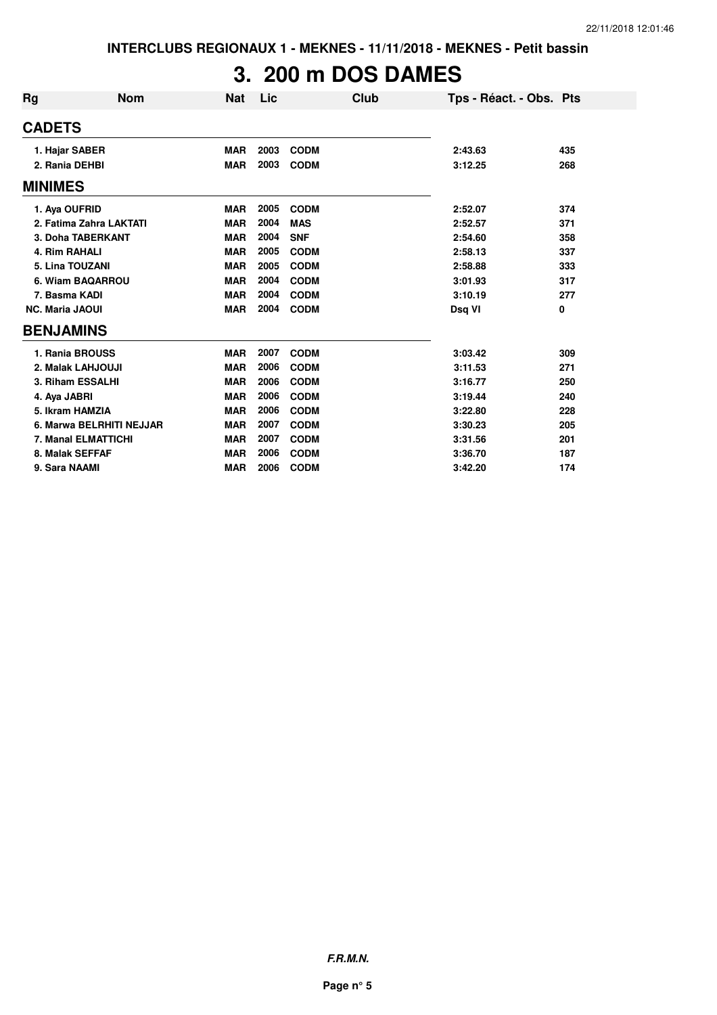# **3. 200 m DOS DAMES**

| <b>Rg</b>              | <b>Nom</b>               | <b>Nat</b> | Lic  |             | Club | Tps - Réact. - Obs. Pts |     |
|------------------------|--------------------------|------------|------|-------------|------|-------------------------|-----|
| <b>CADETS</b>          |                          |            |      |             |      |                         |     |
|                        | 1. Hajar SABER           | <b>MAR</b> | 2003 | <b>CODM</b> |      | 2:43.63                 | 435 |
| 2. Rania DEHBI         |                          | <b>MAR</b> | 2003 | <b>CODM</b> |      | 3:12.25                 | 268 |
| <b>MINIMES</b>         |                          |            |      |             |      |                         |     |
| 1. Aya OUFRID          |                          | <b>MAR</b> | 2005 | <b>CODM</b> |      | 2:52.07                 | 374 |
|                        | 2. Fatima Zahra LAKTATI  | <b>MAR</b> | 2004 | <b>MAS</b>  |      | 2:52.57                 | 371 |
|                        | 3. Doha TABERKANT        | <b>MAR</b> | 2004 | <b>SNF</b>  |      | 2:54.60                 | 358 |
| 4. Rim RAHALI          |                          | <b>MAR</b> | 2005 | <b>CODM</b> |      | 2:58.13                 | 337 |
|                        | 5. Lina TOUZANI          | <b>MAR</b> | 2005 | <b>CODM</b> |      | 2:58.88                 | 333 |
|                        | 6. Wiam BAQARROU         | <b>MAR</b> | 2004 | <b>CODM</b> |      | 3:01.93                 | 317 |
| 7. Basma KADI          |                          | <b>MAR</b> | 2004 | <b>CODM</b> |      | 3:10.19                 | 277 |
| <b>NC. Maria JAOUI</b> |                          | <b>MAR</b> | 2004 | <b>CODM</b> |      | Dsq VI                  | 0   |
| <b>BENJAMINS</b>       |                          |            |      |             |      |                         |     |
|                        | 1. Rania BROUSS          | <b>MAR</b> | 2007 | <b>CODM</b> |      | 3:03.42                 | 309 |
|                        | 2. Malak LAHJOUJI        | <b>MAR</b> | 2006 | <b>CODM</b> |      | 3:11.53                 | 271 |
|                        | 3. Riham ESSALHI         | <b>MAR</b> | 2006 | <b>CODM</b> |      | 3:16.77                 | 250 |
| 4. Aya JABRI           |                          | <b>MAR</b> | 2006 | <b>CODM</b> |      | 3:19.44                 | 240 |
|                        | 5. Ikram HAMZIA          | <b>MAR</b> | 2006 | <b>CODM</b> |      | 3:22.80                 | 228 |
|                        | 6. Marwa BELRHITI NEJJAR | <b>MAR</b> | 2007 | <b>CODM</b> |      | 3:30.23                 | 205 |
|                        | 7. Manal ELMATTICHI      | <b>MAR</b> | 2007 | <b>CODM</b> |      | 3:31.56                 | 201 |
|                        | 8. Malak SEFFAF          | <b>MAR</b> | 2006 | <b>CODM</b> |      | 3:36.70                 | 187 |
| 9. Sara NAAMI          |                          | <b>MAR</b> | 2006 | <b>CODM</b> |      | 3:42.20                 | 174 |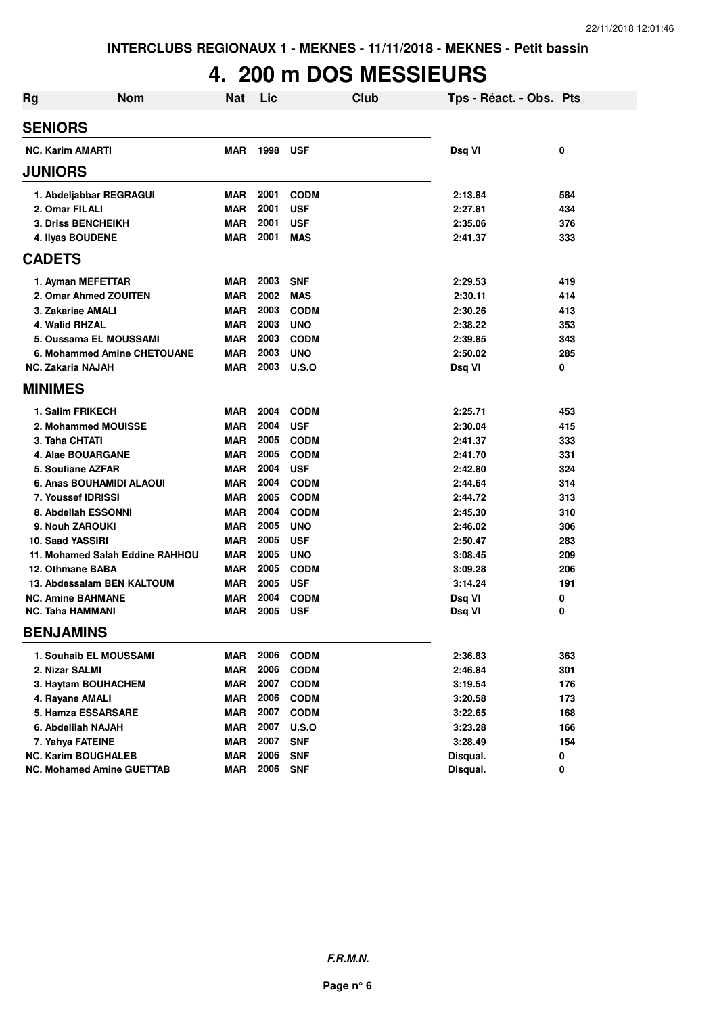### **4. 200 m DOS MESSIEURS**

| Rg | <b>Nom</b>                       | <b>Nat</b> | Lic  |              | Club | Tps - Réact. - Obs. Pts |     |
|----|----------------------------------|------------|------|--------------|------|-------------------------|-----|
|    | <b>SENIORS</b>                   |            |      |              |      |                         |     |
|    | <b>NC. Karim AMARTI</b>          | <b>MAR</b> | 1998 | <b>USF</b>   |      | Dsq VI                  | 0   |
|    | <b>JUNIORS</b>                   |            |      |              |      |                         |     |
|    | 1. Abdeljabbar REGRAGUI          | <b>MAR</b> | 2001 | <b>CODM</b>  |      | 2:13.84                 | 584 |
|    | 2. Omar FILALI                   | <b>MAR</b> | 2001 | <b>USF</b>   |      | 2:27.81                 | 434 |
|    | <b>3. Driss BENCHEIKH</b>        | <b>MAR</b> | 2001 | <b>USF</b>   |      | 2:35.06                 | 376 |
|    | 4. Ilyas BOUDENE                 | <b>MAR</b> | 2001 | <b>MAS</b>   |      | 2:41.37                 | 333 |
|    | <b>CADETS</b>                    |            |      |              |      |                         |     |
|    | 1. Ayman MEFETTAR                | <b>MAR</b> | 2003 | <b>SNF</b>   |      | 2:29.53                 | 419 |
|    | 2. Omar Ahmed ZOUITEN            | <b>MAR</b> | 2002 | <b>MAS</b>   |      | 2:30.11                 | 414 |
|    | 3. Zakariae AMALI                | <b>MAR</b> | 2003 | <b>CODM</b>  |      | 2:30.26                 | 413 |
|    | 4. Walid RHZAL                   | <b>MAR</b> | 2003 | <b>UNO</b>   |      | 2:38.22                 | 353 |
|    | 5. Oussama EL MOUSSAMI           | <b>MAR</b> | 2003 | <b>CODM</b>  |      | 2:39.85                 | 343 |
|    | 6. Mohammed Amine CHETOUANE      | <b>MAR</b> | 2003 | <b>UNO</b>   |      | 2:50.02                 | 285 |
|    | <b>NC. Zakaria NAJAH</b>         | <b>MAR</b> | 2003 | U.S.O        |      | Dsq VI                  | 0   |
|    | <b>MINIMES</b>                   |            |      |              |      |                         |     |
|    | 1. Salim FRIKECH                 | <b>MAR</b> | 2004 | <b>CODM</b>  |      | 2:25.71                 | 453 |
|    | 2. Mohammed MOUISSE              | <b>MAR</b> | 2004 | <b>USF</b>   |      | 2:30.04                 | 415 |
|    | 3. Taha CHTATI                   | <b>MAR</b> | 2005 | <b>CODM</b>  |      | 2:41.37                 | 333 |
|    | 4. Alae BOUARGANE                | <b>MAR</b> | 2005 | <b>CODM</b>  |      | 2:41.70                 | 331 |
|    | 5. Soufiane AZFAR                | <b>MAR</b> | 2004 | <b>USF</b>   |      | 2:42.80                 | 324 |
|    | 6. Anas BOUHAMIDI ALAOUI         | <b>MAR</b> | 2004 | <b>CODM</b>  |      | 2:44.64                 | 314 |
|    | 7. Youssef IDRISSI               | <b>MAR</b> | 2005 | <b>CODM</b>  |      | 2:44.72                 | 313 |
|    | 8. Abdellah ESSONNI              | <b>MAR</b> | 2004 | <b>CODM</b>  |      | 2:45.30                 | 310 |
|    | 9. Nouh ZAROUKI                  | <b>MAR</b> | 2005 | <b>UNO</b>   |      | 2:46.02                 | 306 |
|    | 10. Saad YASSIRI                 | <b>MAR</b> | 2005 | <b>USF</b>   |      | 2:50.47                 | 283 |
|    | 11. Mohamed Salah Eddine RAHHOU  | <b>MAR</b> | 2005 | <b>UNO</b>   |      | 3:08.45                 | 209 |
|    | 12. Othmane BABA                 | <b>MAR</b> | 2005 | <b>CODM</b>  |      | 3:09.28                 | 206 |
|    | 13. Abdessalam BEN KALTOUM       | <b>MAR</b> | 2005 | <b>USF</b>   |      | 3:14.24                 | 191 |
|    | <b>NC. Amine BAHMANE</b>         | <b>MAR</b> | 2004 | <b>CODM</b>  |      | Dsq VI                  | 0   |
|    | <b>NC. Taha HAMMANI</b>          | <b>MAR</b> | 2005 | <b>USF</b>   |      | Dsq VI                  | 0   |
|    | <b>BENJAMINS</b>                 |            |      |              |      |                         |     |
|    | 1. Souhaib EL MOUSSAMI           | <b>MAR</b> | 2006 | <b>CODM</b>  |      | 2:36.83                 | 363 |
|    | 2. Nizar SALMI                   | <b>MAR</b> | 2006 | <b>CODM</b>  |      | 2:46.84                 | 301 |
|    | 3. Haytam BOUHACHEM              | <b>MAR</b> | 2007 | <b>CODM</b>  |      | 3:19.54                 | 176 |
|    | 4. Rayane AMALI                  | <b>MAR</b> | 2006 | <b>CODM</b>  |      | 3:20.58                 | 173 |
|    | 5. Hamza ESSARSARE               | <b>MAR</b> | 2007 | <b>CODM</b>  |      | 3:22.65                 | 168 |
|    | 6. Abdelilah NAJAH               | <b>MAR</b> | 2007 | <b>U.S.O</b> |      | 3:23.28                 | 166 |
|    | 7. Yahya FATEINE                 | <b>MAR</b> | 2007 | <b>SNF</b>   |      | 3:28.49                 | 154 |
|    | <b>NC. Karim BOUGHALEB</b>       | <b>MAR</b> | 2006 | <b>SNF</b>   |      | Disqual.                | 0   |
|    | <b>NC. Mohamed Amine GUETTAB</b> | <b>MAR</b> | 2006 | <b>SNF</b>   |      | Disqual.                | 0   |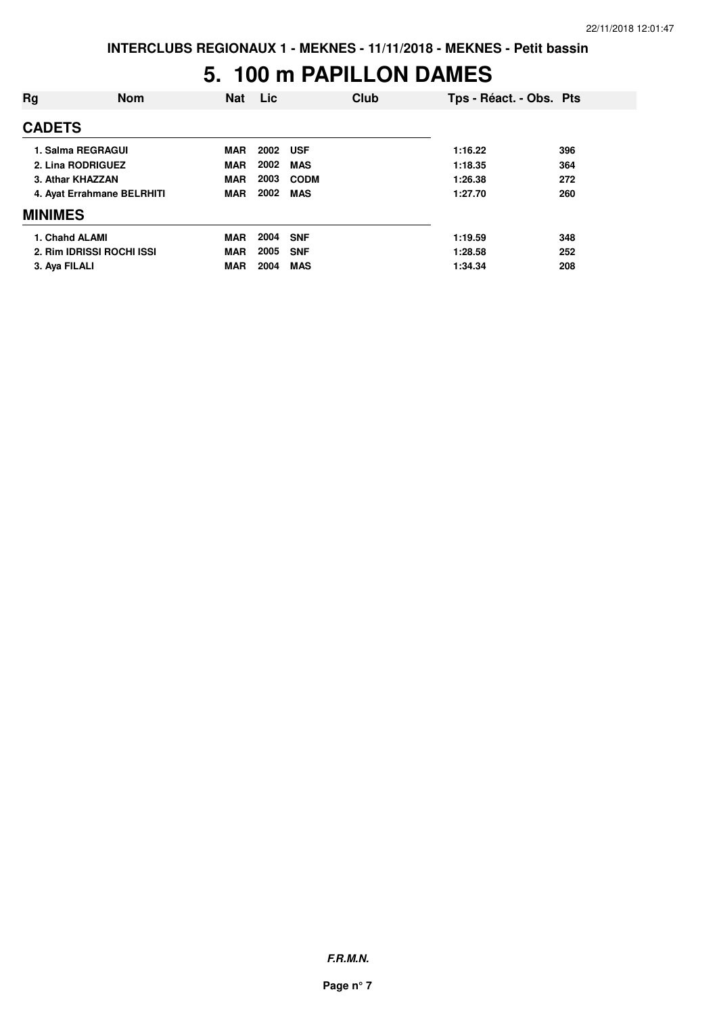#### **5. 100 m PAPILLON DAMES**

| Rg                | <b>Nom</b>                 | <b>Nat</b> | Lic. | <b>Club</b> | Tps - Réact. - Obs. Pts |     |
|-------------------|----------------------------|------------|------|-------------|-------------------------|-----|
| <b>CADETS</b>     |                            |            |      |             |                         |     |
| 1. Salma REGRAGUI |                            | <b>MAR</b> | 2002 | <b>USF</b>  | 1:16.22                 | 396 |
| 2. Lina RODRIGUEZ |                            | <b>MAR</b> | 2002 | <b>MAS</b>  | 1:18.35                 | 364 |
| 3. Athar KHAZZAN  |                            | <b>MAR</b> | 2003 | <b>CODM</b> | 1:26.38                 | 272 |
|                   | 4. Ayat Errahmane BELRHITI | <b>MAR</b> | 2002 | <b>MAS</b>  | 1:27.70                 | 260 |
| <b>MINIMES</b>    |                            |            |      |             |                         |     |
| 1. Chahd ALAMI    |                            | <b>MAR</b> | 2004 | <b>SNF</b>  | 1:19.59                 | 348 |
|                   | 2. Rim IDRISSI ROCHI ISSI  | <b>MAR</b> | 2005 | <b>SNF</b>  | 1:28.58                 | 252 |
| 3. Aya FILALI     |                            | <b>MAR</b> | 2004 | <b>MAS</b>  | 1:34.34                 | 208 |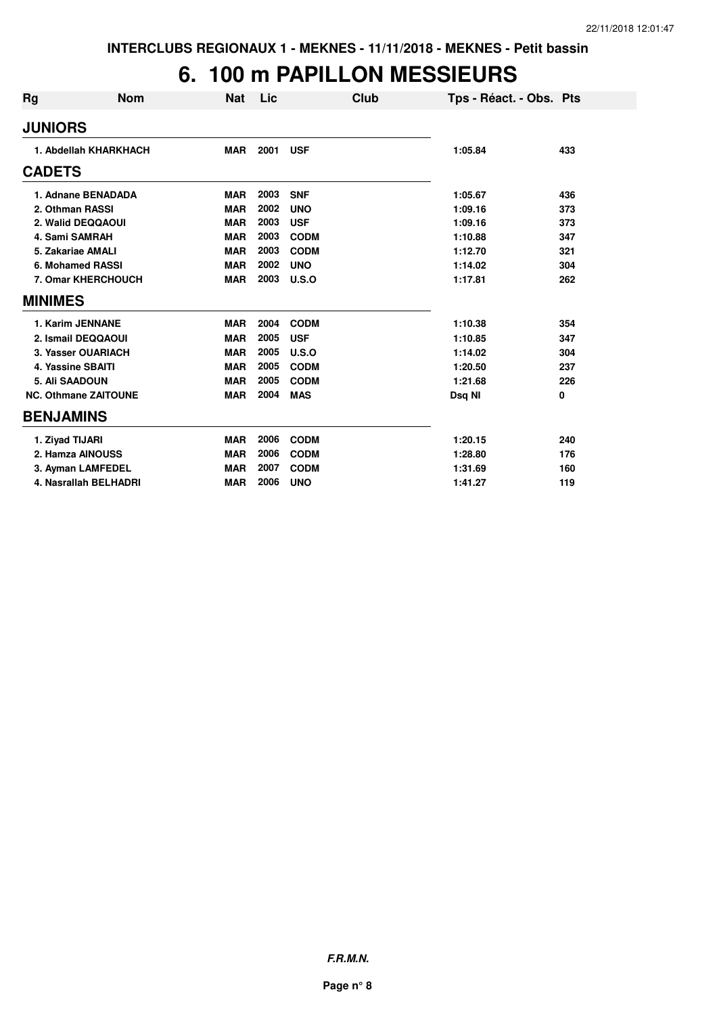### **6. 100 m PAPILLON MESSIEURS**

| <b>Rg</b>      | <b>Nom</b>                  | <b>Nat</b> | Lic  | Club        | Tps - Réact. - Obs. Pts |     |
|----------------|-----------------------------|------------|------|-------------|-------------------------|-----|
| <b>JUNIORS</b> |                             |            |      |             |                         |     |
|                | 1. Abdellah KHARKHACH       | <b>MAR</b> | 2001 | <b>USF</b>  | 1:05.84                 | 433 |
| <b>CADETS</b>  |                             |            |      |             |                         |     |
|                | 1. Adnane BENADADA          | <b>MAR</b> | 2003 | <b>SNF</b>  | 1:05.67                 | 436 |
|                | 2. Othman RASSI             | <b>MAR</b> | 2002 | <b>UNO</b>  | 1:09.16                 | 373 |
|                | 2. Walid DEQQAOUI           | <b>MAR</b> | 2003 | <b>USF</b>  | 1:09.16                 | 373 |
|                | 4. Sami SAMRAH              | <b>MAR</b> | 2003 | <b>CODM</b> | 1:10.88                 | 347 |
|                | 5. Zakariae AMALI           | <b>MAR</b> | 2003 | <b>CODM</b> | 1:12.70                 | 321 |
|                | 6. Mohamed RASSI            | <b>MAR</b> | 2002 | <b>UNO</b>  | 1:14.02                 | 304 |
|                | 7. Omar KHERCHOUCH          | <b>MAR</b> | 2003 | U.S.O       | 1:17.81                 | 262 |
| <b>MINIMES</b> |                             |            |      |             |                         |     |
|                | 1. Karim JENNANE            | <b>MAR</b> | 2004 | <b>CODM</b> | 1:10.38                 | 354 |
|                | 2. Ismail DEQQAOUI          | <b>MAR</b> | 2005 | <b>USF</b>  | 1:10.85                 | 347 |
|                | 3. Yasser OUARIACH          | <b>MAR</b> | 2005 | U.S.O       | 1:14.02                 | 304 |
|                | 4. Yassine SBAITI           | <b>MAR</b> | 2005 | <b>CODM</b> | 1:20.50                 | 237 |
|                | 5. Ali SAADOUN              | <b>MAR</b> | 2005 | <b>CODM</b> | 1:21.68                 | 226 |
|                | <b>NC. Othmane ZAITOUNE</b> | <b>MAR</b> | 2004 | <b>MAS</b>  | Dsq NI                  | 0   |
|                | <b>BENJAMINS</b>            |            |      |             |                         |     |
|                | 1. Ziyad TIJARI             | <b>MAR</b> | 2006 | <b>CODM</b> | 1:20.15                 | 240 |
|                | 2. Hamza AINOUSS            | <b>MAR</b> | 2006 | <b>CODM</b> | 1:28.80                 | 176 |
|                | 3. Ayman LAMFEDEL           | <b>MAR</b> | 2007 | <b>CODM</b> | 1:31.69                 | 160 |
|                | 4. Nasrallah BELHADRI       | <b>MAR</b> | 2006 | <b>UNO</b>  | 1:41.27                 | 119 |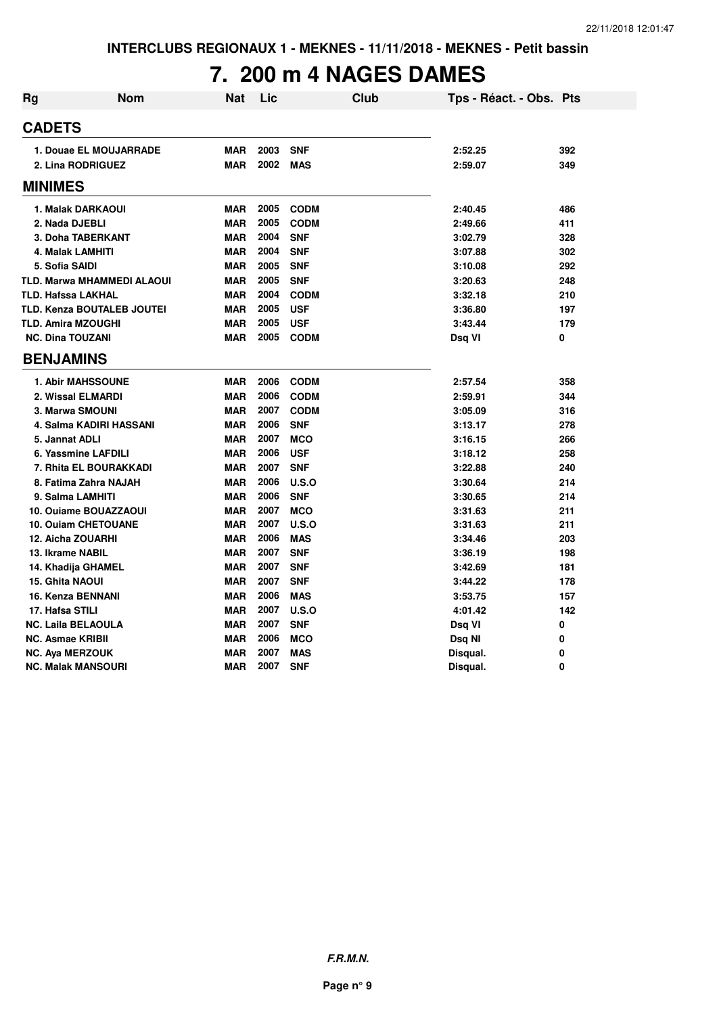### **7. 200 m 4 NAGES DAMES**

| <b>Rg</b> | <b>Nom</b>                        | Nat        | Lic  | <b>Club</b> | Tps - Réact. - Obs. Pts |     |
|-----------|-----------------------------------|------------|------|-------------|-------------------------|-----|
|           | <b>CADETS</b>                     |            |      |             |                         |     |
|           | 1. Douae EL MOUJARRADE            | <b>MAR</b> | 2003 | <b>SNF</b>  | 2:52.25                 | 392 |
|           | 2. Lina RODRIGUEZ                 | <b>MAR</b> | 2002 | <b>MAS</b>  | 2:59.07                 | 349 |
|           | <b>MINIMES</b>                    |            |      |             |                         |     |
|           | 1. Malak DARKAOUI                 | <b>MAR</b> | 2005 | <b>CODM</b> | 2:40.45                 | 486 |
|           | 2. Nada DJEBLI                    | <b>MAR</b> | 2005 | <b>CODM</b> | 2:49.66                 | 411 |
|           | 3. Doha TABERKANT                 | <b>MAR</b> | 2004 | <b>SNF</b>  | 3:02.79                 | 328 |
|           | 4. Malak LAMHITI                  | <b>MAR</b> | 2004 | <b>SNF</b>  | 3:07.88                 | 302 |
|           | 5. Sofia SAIDI                    | <b>MAR</b> | 2005 | <b>SNF</b>  | 3:10.08                 | 292 |
|           | <b>TLD. Marwa MHAMMEDI ALAOUI</b> | <b>MAR</b> | 2005 | <b>SNF</b>  | 3:20.63                 | 248 |
|           | <b>TLD. Hafssa LAKHAL</b>         | <b>MAR</b> | 2004 | <b>CODM</b> | 3:32.18                 | 210 |
|           | <b>TLD. Kenza BOUTALEB JOUTEI</b> | <b>MAR</b> | 2005 | <b>USF</b>  | 3:36.80                 | 197 |
|           | <b>TLD. Amira MZOUGHI</b>         | <b>MAR</b> | 2005 | <b>USF</b>  | 3:43.44                 | 179 |
|           | <b>NC. Dina TOUZANI</b>           | <b>MAR</b> | 2005 | <b>CODM</b> | Dsq VI                  | 0   |
|           | <b>BENJAMINS</b>                  |            |      |             |                         |     |
|           | <b>1. Abir MAHSSOUNE</b>          | <b>MAR</b> | 2006 | <b>CODM</b> | 2:57.54                 | 358 |
|           | 2. Wissal ELMARDI                 | <b>MAR</b> | 2006 | <b>CODM</b> | 2:59.91                 | 344 |
|           | <b>3. Marwa SMOUNI</b>            | <b>MAR</b> | 2007 | <b>CODM</b> | 3:05.09                 | 316 |
|           | 4. Salma KADIRI HASSANI           | <b>MAR</b> | 2006 | <b>SNF</b>  | 3:13.17                 | 278 |
|           | 5. Jannat ADLI                    | <b>MAR</b> | 2007 | <b>MCO</b>  | 3:16.15                 | 266 |
|           | 6. Yassmine LAFDILI               | <b>MAR</b> | 2006 | <b>USF</b>  | 3:18.12                 | 258 |
|           | 7. Rhita EL BOURAKKADI            | <b>MAR</b> | 2007 | <b>SNF</b>  | 3:22.88                 | 240 |
|           | 8. Fatima Zahra NAJAH             | <b>MAR</b> | 2006 | U.S.O       | 3:30.64                 | 214 |
|           | 9. Salma LAMHITI                  | <b>MAR</b> | 2006 | <b>SNF</b>  | 3:30.65                 | 214 |
|           | 10. Ouiame BOUAZZAOUI             | <b>MAR</b> | 2007 | <b>MCO</b>  | 3:31.63                 | 211 |
|           | 10. Ouiam CHETOUANE               | <b>MAR</b> | 2007 | U.S.O       | 3:31.63                 | 211 |
|           | 12. Aicha ZOUARHI                 | <b>MAR</b> | 2006 | <b>MAS</b>  | 3:34.46                 | 203 |
|           | 13. Ikrame NABIL                  | <b>MAR</b> | 2007 | <b>SNF</b>  | 3:36.19                 | 198 |
|           | 14. Khadija GHAMEL                | <b>MAR</b> | 2007 | <b>SNF</b>  | 3:42.69                 | 181 |
|           | <b>15. Ghita NAOUI</b>            | <b>MAR</b> | 2007 | <b>SNF</b>  | 3:44.22                 | 178 |
|           | <b>16. Kenza BENNANI</b>          | <b>MAR</b> | 2006 | <b>MAS</b>  | 3:53.75                 | 157 |
|           | 17. Hafsa STILI                   | <b>MAR</b> | 2007 | U.S.O       | 4:01.42                 | 142 |
|           | <b>NC. Laila BELAOULA</b>         | <b>MAR</b> | 2007 | <b>SNF</b>  | Dsq VI                  | 0   |
|           | <b>NC. Asmae KRIBII</b>           | <b>MAR</b> | 2006 | <b>MCO</b>  | Dsq NI                  | 0   |
|           | <b>NC. Aya MERZOUK</b>            | <b>MAR</b> | 2007 | <b>MAS</b>  | Disqual.                | 0   |
|           | <b>NC. Malak MANSOURI</b>         | <b>MAR</b> | 2007 | <b>SNF</b>  | Disqual.                | 0   |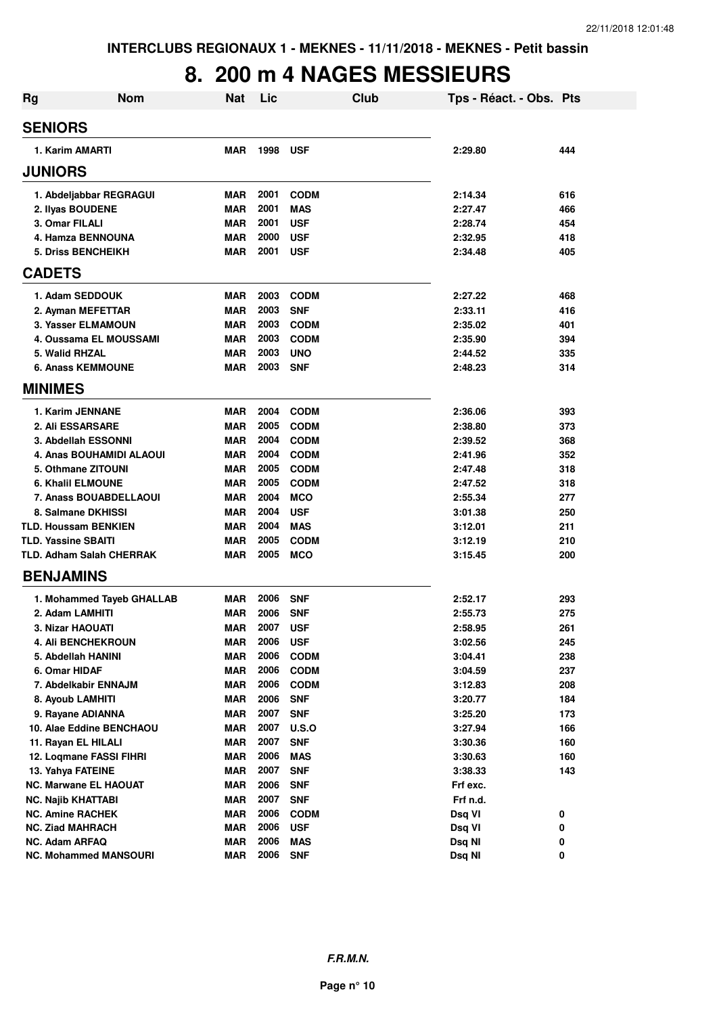### **8. 200 m 4 NAGES MESSIEURS**

| <b>Rg</b>                       | <b>Nom</b>                | <b>Nat</b> | Lic  |              | Club | Tps - Réact. - Obs. Pts |     |
|---------------------------------|---------------------------|------------|------|--------------|------|-------------------------|-----|
| <b>SENIORS</b>                  |                           |            |      |              |      |                         |     |
| 1. Karim AMARTI                 |                           | <b>MAR</b> | 1998 | <b>USF</b>   |      | 2:29.80                 | 444 |
| <b>JUNIORS</b>                  |                           |            |      |              |      |                         |     |
| 1. Abdeljabbar REGRAGUI         |                           | <b>MAR</b> | 2001 | <b>CODM</b>  |      | 2:14.34                 | 616 |
| 2. Ilyas BOUDENE                |                           | <b>MAR</b> | 2001 | <b>MAS</b>   |      | 2:27.47                 | 466 |
| 3. Omar FILALI                  |                           | <b>MAR</b> | 2001 | <b>USF</b>   |      | 2:28.74                 | 454 |
| 4. Hamza BENNOUNA               |                           | <b>MAR</b> | 2000 | <b>USF</b>   |      | 2:32.95                 | 418 |
| <b>5. Driss BENCHEIKH</b>       |                           | <b>MAR</b> | 2001 | <b>USF</b>   |      | 2:34.48                 | 405 |
| <b>CADETS</b>                   |                           |            |      |              |      |                         |     |
| 1. Adam SEDDOUK                 |                           | <b>MAR</b> | 2003 | <b>CODM</b>  |      | 2:27.22                 | 468 |
| 2. Ayman MEFETTAR               |                           | <b>MAR</b> | 2003 | <b>SNF</b>   |      | 2:33.11                 | 416 |
| 3. Yasser ELMAMOUN              |                           | <b>MAR</b> | 2003 | <b>CODM</b>  |      | 2:35.02                 | 401 |
| 4. Oussama EL MOUSSAMI          |                           | <b>MAR</b> | 2003 | <b>CODM</b>  |      | 2:35.90                 | 394 |
| 5. Walid RHZAL                  |                           | <b>MAR</b> | 2003 | <b>UNO</b>   |      | 2:44.52                 | 335 |
| <b>6. Anass KEMMOUNE</b>        |                           | <b>MAR</b> | 2003 | <b>SNF</b>   |      | 2:48.23                 | 314 |
| <b>MINIMES</b>                  |                           |            |      |              |      |                         |     |
| 1. Karim JENNANE                |                           | <b>MAR</b> | 2004 | <b>CODM</b>  |      | 2:36.06                 | 393 |
| <b>2. Ali ESSARSARE</b>         |                           | <b>MAR</b> | 2005 | <b>CODM</b>  |      | 2:38.80                 | 373 |
| 3. Abdellah ESSONNI             |                           | <b>MAR</b> | 2004 | <b>CODM</b>  |      | 2:39.52                 | 368 |
|                                 | 4. Anas BOUHAMIDI ALAOUI  | <b>MAR</b> | 2004 | <b>CODM</b>  |      | 2:41.96                 | 352 |
| 5. Othmane ZITOUNI              |                           | <b>MAR</b> | 2005 | <b>CODM</b>  |      | 2:47.48                 | 318 |
| <b>6. Khalil ELMOUNE</b>        |                           | <b>MAR</b> | 2005 | <b>CODM</b>  |      | 2:47.52                 | 318 |
| 7. Anass BOUABDELLAOUI          |                           | <b>MAR</b> | 2004 | <b>MCO</b>   |      | 2:55.34                 | 277 |
| 8. Salmane DKHISSI              |                           | <b>MAR</b> | 2004 | <b>USF</b>   |      | 3:01.38                 | 250 |
| <b>TLD. Houssam BENKIEN</b>     |                           | <b>MAR</b> | 2004 | <b>MAS</b>   |      | 3:12.01                 | 211 |
| <b>TLD. Yassine SBAITI</b>      |                           | <b>MAR</b> | 2005 | <b>CODM</b>  |      | 3:12.19                 | 210 |
| <b>TLD. Adham Salah CHERRAK</b> |                           | <b>MAR</b> | 2005 | <b>MCO</b>   |      | 3:15.45                 | 200 |
| <b>BENJAMINS</b>                |                           |            |      |              |      |                         |     |
|                                 | 1. Mohammed Tayeb GHALLAB | MAR        | 2006 | <b>SNF</b>   |      | 2:52.17                 | 293 |
| 2. Adam LAMHITI                 |                           | <b>MAR</b> | 2006 | <b>SNF</b>   |      | 2:55.73                 | 275 |
| 3. Nizar HAOUATI                |                           | <b>MAR</b> | 2007 | <b>USF</b>   |      | 2:58.95                 | 261 |
| <b>4. AII BENCHEKROUN</b>       |                           | MAR        | 2006 | <b>USF</b>   |      | 3:02.56                 | 245 |
| 5. Abdellah HANINI              |                           | MAR        | 2006 | <b>CODM</b>  |      | 3:04.41                 | 238 |
| 6. Omar HIDAF                   |                           | <b>MAR</b> | 2006 | <b>CODM</b>  |      | 3:04.59                 | 237 |
| 7. Abdelkabir ENNAJM            |                           | <b>MAR</b> | 2006 | <b>CODM</b>  |      | 3:12.83                 | 208 |
| 8. Ayoub LAMHITI                |                           | <b>MAR</b> | 2006 | <b>SNF</b>   |      | 3:20.77                 | 184 |
| 9. Rayane ADIANNA               |                           | <b>MAR</b> | 2007 | <b>SNF</b>   |      | 3:25.20                 | 173 |
| 10. Alae Eddine BENCHAOU        |                           | <b>MAR</b> | 2007 | <b>U.S.O</b> |      | 3:27.94                 | 166 |
| 11. Rayan EL HILALI             |                           | <b>MAR</b> | 2007 | <b>SNF</b>   |      | 3:30.36                 | 160 |
| 12. Loqmane FASSI FIHRI         |                           | <b>MAR</b> | 2006 | <b>MAS</b>   |      | 3:30.63                 | 160 |
| 13. Yahya FATEINE               |                           | <b>MAR</b> | 2007 | <b>SNF</b>   |      | 3:38.33                 | 143 |
| <b>NC. Marwane EL HAOUAT</b>    |                           | <b>MAR</b> | 2006 | <b>SNF</b>   |      | Frf exc.                |     |
| <b>NC. Najib KHATTABI</b>       |                           | <b>MAR</b> | 2007 | <b>SNF</b>   |      | Frf n.d.                |     |
| <b>NC. Amine RACHEK</b>         |                           | <b>MAR</b> | 2006 | <b>CODM</b>  |      | Dsq VI                  | 0   |
| <b>NC. Ziad MAHRACH</b>         |                           | <b>MAR</b> | 2006 | <b>USF</b>   |      | Dsq VI                  | 0   |
| <b>NC. Adam ARFAQ</b>           |                           | <b>MAR</b> | 2006 | <b>MAS</b>   |      | Dsq NI                  | 0   |
| <b>NC. Mohammed MANSOURI</b>    |                           | <b>MAR</b> | 2006 | <b>SNF</b>   |      | Dsq NI                  | 0   |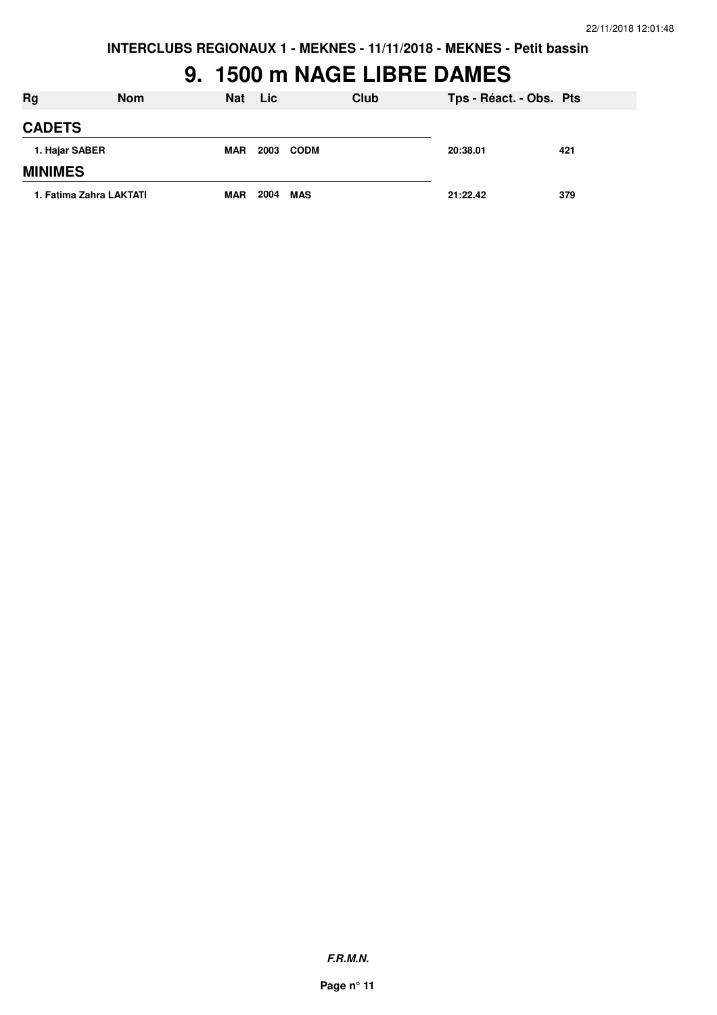**INTERCLUBS REGIONAUX 1 - MEKNES - 11/11/2018 - MEKNES - Petit bassin**

#### **9. 1500 m NAGE LIBRE DAMES**

| <b>Rg</b>               | <b>Nom</b> | <b>Nat</b> | <b>Lic</b> |             | Club | Tps - Réact. - Obs. Pts |     |
|-------------------------|------------|------------|------------|-------------|------|-------------------------|-----|
| <b>CADETS</b>           |            |            |            |             |      |                         |     |
| 1. Hajar SABER          |            | <b>MAR</b> | 2003       | <b>CODM</b> |      | 20:38.01                | 421 |
| <b>MINIMES</b>          |            |            |            |             |      |                         |     |
| 1. Fatima Zahra LAKTATI |            | <b>MAR</b> | 2004       | <b>MAS</b>  |      | 21:22.42                | 379 |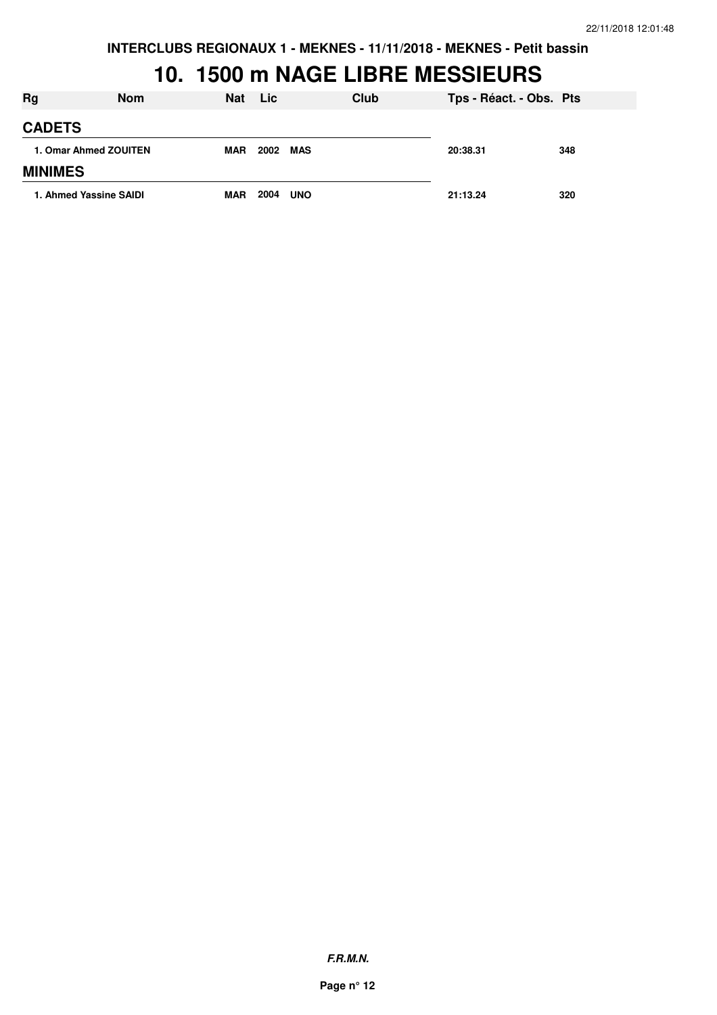**INTERCLUBS REGIONAUX 1 - MEKNES - 11/11/2018 - MEKNES - Petit bassin**

### **10. 1500 m NAGE LIBRE MESSIEURS**

| Rg                    | <b>Nom</b>             | <b>Nat</b> | <b>Lic</b> | Club       | Tps - Réact. - Obs. Pts |     |
|-----------------------|------------------------|------------|------------|------------|-------------------------|-----|
| <b>CADETS</b>         |                        |            |            |            |                         |     |
| 1. Omar Ahmed ZOUITEN | <b>MAR</b>             | 2002       | MAS        | 20:38.31   | 348                     |     |
| <b>MINIMES</b>        |                        |            |            |            |                         |     |
|                       | 1. Ahmed Yassine SAIDI | <b>MAR</b> | 2004       | <b>UNO</b> | 21:13.24                | 320 |

**F.R.M.N.**

**Page n° 12**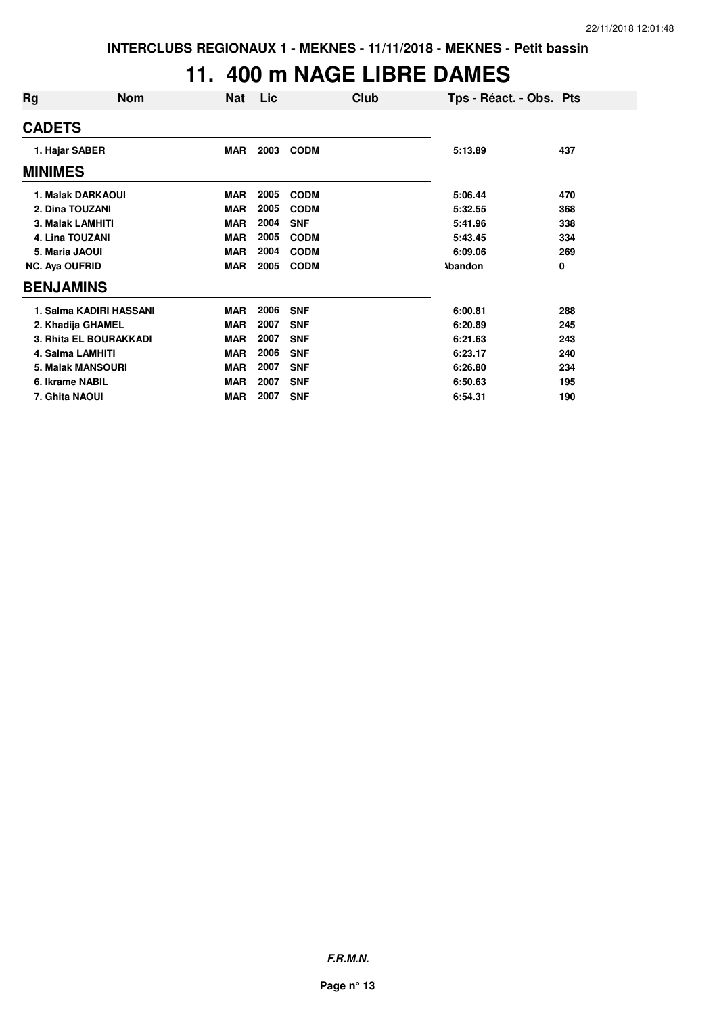### **11. 400 m NAGE LIBRE DAMES**

| Rg                      | <b>Nom</b>               | <b>Nat</b> | Lic. |             | Club | Tps - Réact. - Obs. Pts |     |
|-------------------------|--------------------------|------------|------|-------------|------|-------------------------|-----|
| <b>CADETS</b>           |                          |            |      |             |      |                         |     |
| 1. Hajar SABER          |                          | <b>MAR</b> | 2003 | <b>CODM</b> |      | 5:13.89                 | 437 |
| <b>MINIMES</b>          |                          |            |      |             |      |                         |     |
|                         | 1. Malak DARKAOUI        | <b>MAR</b> | 2005 | <b>CODM</b> |      | 5:06.44                 | 470 |
| 2. Dina TOUZANI         |                          | <b>MAR</b> | 2005 | <b>CODM</b> |      | 5:32.55                 | 368 |
| <b>3. Malak LAMHITI</b> |                          | <b>MAR</b> | 2004 | <b>SNF</b>  |      | 5:41.96                 | 338 |
| 4. Lina TOUZANI         |                          | <b>MAR</b> | 2005 | <b>CODM</b> |      | 5:43.45                 | 334 |
| 5. Maria JAOUI          |                          | <b>MAR</b> | 2004 | <b>CODM</b> |      | 6:09.06                 | 269 |
| <b>NC. Aya OUFRID</b>   |                          | <b>MAR</b> | 2005 | <b>CODM</b> |      | <b>Abandon</b>          | 0   |
| <b>BENJAMINS</b>        |                          |            |      |             |      |                         |     |
|                         | 1. Salma KADIRI HASSANI  | <b>MAR</b> | 2006 | <b>SNF</b>  |      | 6:00.81                 | 288 |
|                         | 2. Khadija GHAMEL        | <b>MAR</b> | 2007 | <b>SNF</b>  |      | 6:20.89                 | 245 |
|                         | 3. Rhita EL BOURAKKADI   | <b>MAR</b> | 2007 | <b>SNF</b>  |      | 6:21.63                 | 243 |
|                         | 4. Salma LAMHITI         | <b>MAR</b> | 2006 | <b>SNF</b>  |      | 6:23.17                 | 240 |
|                         | <b>5. Malak MANSOURI</b> | <b>MAR</b> | 2007 | <b>SNF</b>  |      | 6:26.80                 | 234 |
| 6. Ikrame NABIL         |                          | <b>MAR</b> | 2007 | <b>SNF</b>  |      | 6:50.63                 | 195 |
| 7. Ghita NAOUI          |                          | <b>MAR</b> | 2007 | <b>SNF</b>  |      | 6:54.31                 | 190 |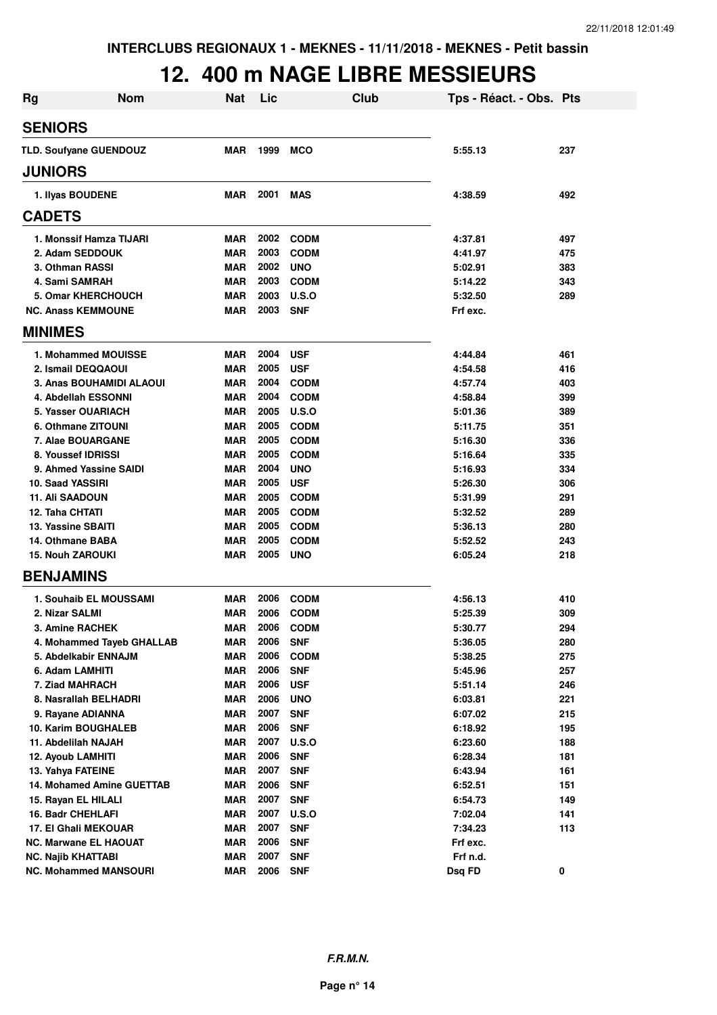### **12. 400 m NAGE LIBRE MESSIEURS**

| <b>Rg</b>      | <b>Nom</b>                    | <b>Nat</b> | Lic  | Club        | Tps - Réact. - Obs. Pts |     |
|----------------|-------------------------------|------------|------|-------------|-------------------------|-----|
| <b>SENIORS</b> |                               |            |      |             |                         |     |
|                | <b>TLD. Soufyane GUENDOUZ</b> | <b>MAR</b> | 1999 | <b>MCO</b>  | 5:55.13                 | 237 |
| <b>JUNIORS</b> |                               |            |      |             |                         |     |
|                | 1. Ilyas BOUDENE              | <b>MAR</b> | 2001 | <b>MAS</b>  | 4:38.59                 | 492 |
| <b>CADETS</b>  |                               |            |      |             |                         |     |
|                | 1. Monssif Hamza TIJARI       | <b>MAR</b> | 2002 | <b>CODM</b> | 4:37.81                 | 497 |
|                | 2. Adam SEDDOUK               | <b>MAR</b> | 2003 | <b>CODM</b> | 4:41.97                 | 475 |
|                | 3. Othman RASSI               | <b>MAR</b> | 2002 | <b>UNO</b>  | 5:02.91                 | 383 |
|                | 4. Sami SAMRAH                | <b>MAR</b> | 2003 | <b>CODM</b> | 5:14.22                 | 343 |
|                | 5. Omar KHERCHOUCH            | <b>MAR</b> | 2003 | U.S.O       | 5:32.50                 | 289 |
|                | <b>NC. Anass KEMMOUNE</b>     | <b>MAR</b> | 2003 | <b>SNF</b>  | Frf exc.                |     |
| <b>MINIMES</b> |                               |            |      |             |                         |     |
|                | 1. Mohammed MOUISSE           | <b>MAR</b> | 2004 | <b>USF</b>  | 4:44.84                 | 461 |
|                | 2. Ismail DEQQAOUI            | <b>MAR</b> | 2005 | <b>USF</b>  | 4:54.58                 | 416 |
|                | 3. Anas BOUHAMIDI ALAOUI      | <b>MAR</b> | 2004 | <b>CODM</b> | 4:57.74                 | 403 |
|                | 4. Abdellah ESSONNI           | <b>MAR</b> | 2004 | <b>CODM</b> | 4:58.84                 | 399 |
|                | 5. Yasser OUARIACH            | <b>MAR</b> | 2005 | U.S.O       | 5:01.36                 | 389 |
|                | 6. Othmane ZITOUNI            | <b>MAR</b> | 2005 | <b>CODM</b> | 5:11.75                 | 351 |
|                | 7. Alae BOUARGANE             | <b>MAR</b> | 2005 | <b>CODM</b> | 5:16.30                 | 336 |
|                | 8. Youssef IDRISSI            | <b>MAR</b> | 2005 | <b>CODM</b> | 5:16.64                 | 335 |
|                | 9. Ahmed Yassine SAIDI        | <b>MAR</b> | 2004 | <b>UNO</b>  | 5:16.93                 | 334 |
|                | 10. Saad YASSIRI              | <b>MAR</b> | 2005 | <b>USF</b>  | 5:26.30                 | 306 |
|                | <b>11. Ali SAADOUN</b>        | <b>MAR</b> | 2005 | <b>CODM</b> | 5:31.99                 | 291 |
|                | 12. Taha CHTATI               | <b>MAR</b> | 2005 | <b>CODM</b> | 5:32.52                 | 289 |
|                | 13. Yassine SBAITI            | <b>MAR</b> | 2005 | <b>CODM</b> | 5:36.13                 | 280 |
|                | 14. Othmane BABA              | <b>MAR</b> | 2005 | <b>CODM</b> | 5:52.52                 | 243 |
|                | <b>15. Nouh ZAROUKI</b>       | <b>MAR</b> | 2005 | <b>UNO</b>  | 6:05.24                 | 218 |
|                | <b>BENJAMINS</b>              |            |      |             |                         |     |
|                | 1. Souhaib EL MOUSSAMI        | <b>MAR</b> | 2006 | <b>CODM</b> | 4:56.13                 | 410 |
|                | 2. Nizar SALMI                | <b>MAR</b> | 2006 | <b>CODM</b> | 5:25.39                 | 309 |
|                | 3. Amine RACHEK               | <b>MAR</b> | 2006 | <b>CODM</b> | 5:30.77                 | 294 |
|                | 4. Mohammed Tayeb GHALLAB     | MAR        | 2006 | <b>SNF</b>  | 5:36.05                 | 280 |
|                | 5. Abdelkabir ENNAJM          | <b>MAR</b> | 2006 | <b>CODM</b> | 5:38.25                 | 275 |
|                | 6. Adam LAMHITI               | <b>MAR</b> | 2006 | <b>SNF</b>  | 5:45.96                 | 257 |
|                | 7. Ziad MAHRACH               | <b>MAR</b> | 2006 | <b>USF</b>  | 5:51.14                 | 246 |
|                | 8. Nasrallah BELHADRI         | <b>MAR</b> | 2006 | <b>UNO</b>  | 6:03.81                 | 221 |
|                | 9. Rayane ADIANNA             | <b>MAR</b> | 2007 | <b>SNF</b>  | 6:07.02                 | 215 |
|                | 10. Karim BOUGHALEB           | <b>MAR</b> | 2006 | <b>SNF</b>  | 6:18.92                 | 195 |
|                | 11. Abdelilah NAJAH           | <b>MAR</b> | 2007 | U.S.O       | 6:23.60                 | 188 |
|                | 12. Ayoub LAMHITI             | <b>MAR</b> | 2006 | <b>SNF</b>  | 6:28.34                 | 181 |
|                | 13. Yahya FATEINE             | <b>MAR</b> | 2007 | <b>SNF</b>  | 6:43.94                 | 161 |
|                | 14. Mohamed Amine GUETTAB     | <b>MAR</b> | 2006 | <b>SNF</b>  | 6:52.51                 | 151 |
|                | 15. Rayan EL HILALI           | <b>MAR</b> | 2007 | <b>SNF</b>  | 6:54.73                 | 149 |
|                | 16. Badr CHEHLAFI             | <b>MAR</b> | 2007 | U.S.O       | 7:02.04                 | 141 |
|                | 17. El Ghali MEKOUAR          | <b>MAR</b> | 2007 | <b>SNF</b>  | 7:34.23                 | 113 |
|                | <b>NC. Marwane EL HAOUAT</b>  | <b>MAR</b> | 2006 | <b>SNF</b>  | Frf exc.                |     |
|                | <b>NC. Najib KHATTABI</b>     | <b>MAR</b> | 2007 | <b>SNF</b>  | Frf n.d.                |     |
|                | <b>NC. Mohammed MANSOURI</b>  | <b>MAR</b> | 2006 | <b>SNF</b>  | Dsq FD                  | 0   |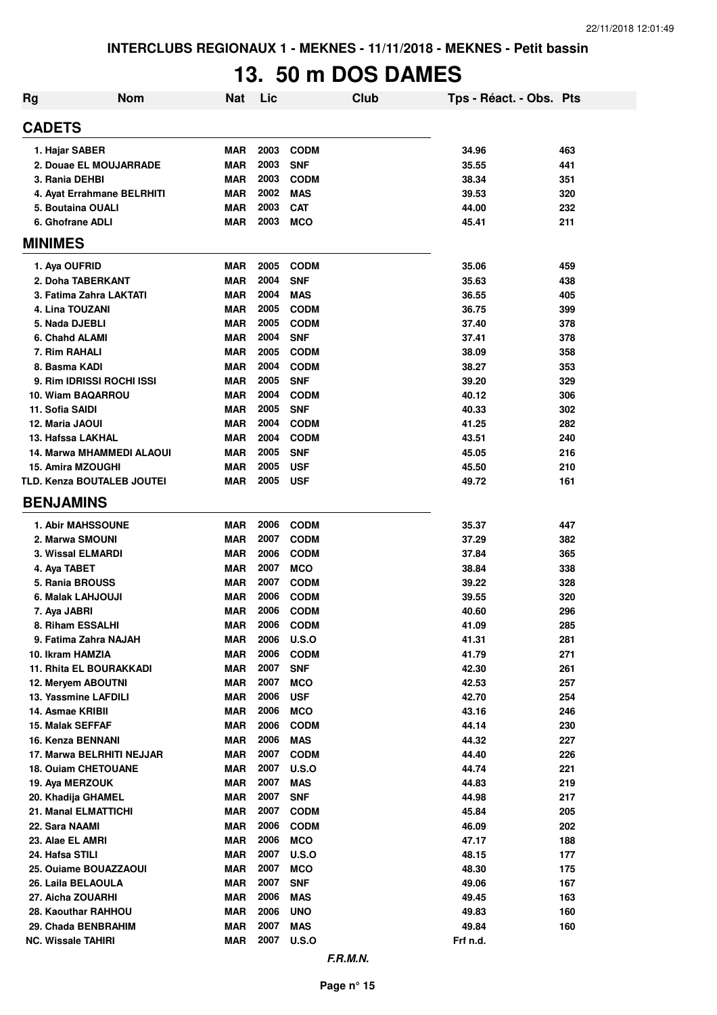# **13. 50 m DOS DAMES**

| Rg | <b>Nom</b>                       | <b>Nat</b> | Lic  |              | Club | Tps - Réact. - Obs. Pts |     |
|----|----------------------------------|------------|------|--------------|------|-------------------------|-----|
|    | <b>CADETS</b>                    |            |      |              |      |                         |     |
|    | 1. Hajar SABER                   | <b>MAR</b> | 2003 | <b>CODM</b>  |      | 34.96                   | 463 |
|    | 2. Douae EL MOUJARRADE           | <b>MAR</b> | 2003 | <b>SNF</b>   |      | 35.55                   | 441 |
|    | 3. Rania DEHBI                   | <b>MAR</b> | 2003 | <b>CODM</b>  |      | 38.34                   | 351 |
|    | 4. Ayat Errahmane BELRHITI       | <b>MAR</b> | 2002 | <b>MAS</b>   |      | 39.53                   | 320 |
|    | 5. Boutaina OUALI                | <b>MAR</b> | 2003 | <b>CAT</b>   |      | 44.00                   | 232 |
|    | 6. Ghofrane ADLI                 | <b>MAR</b> | 2003 | <b>MCO</b>   |      | 45.41                   | 211 |
|    | <b>MINIMES</b>                   |            |      |              |      |                         |     |
|    | 1. Aya OUFRID                    | <b>MAR</b> | 2005 | <b>CODM</b>  |      | 35.06                   | 459 |
|    | 2. Doha TABERKANT                | <b>MAR</b> | 2004 | <b>SNF</b>   |      | 35.63                   | 438 |
|    | 3. Fatima Zahra LAKTATI          | <b>MAR</b> | 2004 | <b>MAS</b>   |      | 36.55                   | 405 |
|    | 4. Lina TOUZANI                  | <b>MAR</b> | 2005 | <b>CODM</b>  |      | 36.75                   | 399 |
|    | 5. Nada DJEBLI                   | <b>MAR</b> | 2005 | <b>CODM</b>  |      | 37.40                   | 378 |
|    | 6. Chahd ALAMI                   | <b>MAR</b> | 2004 | <b>SNF</b>   |      | 37.41                   | 378 |
|    | 7. Rim RAHALI                    | <b>MAR</b> | 2005 | <b>CODM</b>  |      | 38.09                   | 358 |
|    | 8. Basma KADI                    | <b>MAR</b> | 2004 | <b>CODM</b>  |      | 38.27                   | 353 |
|    | 9. Rim IDRISSI ROCHI ISSI        | <b>MAR</b> | 2005 | <b>SNF</b>   |      | 39.20                   | 329 |
|    | 10. Wiam BAQARROU                | <b>MAR</b> | 2004 | <b>CODM</b>  |      | 40.12                   | 306 |
|    | 11. Sofia SAIDI                  | MAR        | 2005 | <b>SNF</b>   |      | 40.33                   | 302 |
|    | 12. Maria JAOUI                  | MAR        | 2004 | <b>CODM</b>  |      | 41.25                   | 282 |
|    | 13. Hafssa LAKHAL                | MAR        | 2004 | <b>CODM</b>  |      | 43.51                   | 240 |
|    | <b>14. Marwa MHAMMEDI ALAOUI</b> | MAR        | 2005 | <b>SNF</b>   |      | 45.05                   | 216 |
|    | 15. Amira MZOUGHI                | <b>MAR</b> | 2005 | <b>USF</b>   |      | 45.50                   | 210 |
|    | TLD. Kenza BOUTALEB JOUTEI       | MAR        | 2005 | <b>USF</b>   |      | 49.72                   | 161 |
|    | <b>BENJAMINS</b>                 |            |      |              |      |                         |     |
|    | <b>1. Abir MAHSSOUNE</b>         | MAR        | 2006 | <b>CODM</b>  |      | 35.37                   | 447 |
|    | 2. Marwa SMOUNI                  | <b>MAR</b> | 2007 | <b>CODM</b>  |      | 37.29                   | 382 |
|    | 3. Wissal ELMARDI                | MAR        | 2006 | <b>CODM</b>  |      | 37.84                   | 365 |
|    | 4. Aya TABET                     | <b>MAR</b> | 2007 | <b>MCO</b>   |      | 38.84                   | 338 |
|    | 5. Rania BROUSS                  | <b>MAR</b> | 2007 | <b>CODM</b>  |      | 39.22                   | 328 |
|    | 6. Malak LAHJOUJI                | MAR        | 2006 | <b>CODM</b>  |      | 39.55                   | 320 |
|    | 7. Aya JABRI                     | <b>MAR</b> | 2006 | <b>CODM</b>  |      | 40.60                   | 296 |
|    | 8. Riham ESSALHI                 | <b>MAR</b> | 2006 | <b>CODM</b>  |      | 41.09                   | 285 |
|    | 9. Fatima Zahra NAJAH            | <b>MAR</b> | 2006 | <b>U.S.O</b> |      | 41.31                   | 281 |
|    | 10. Ikram HAMZIA                 | <b>MAR</b> | 2006 | <b>CODM</b>  |      | 41.79                   | 271 |
|    | 11. Rhita EL BOURAKKADI          | <b>MAR</b> | 2007 | <b>SNF</b>   |      | 42.30                   | 261 |
|    | 12. Meryem ABOUTNI               | MAR        | 2007 | <b>MCO</b>   |      | 42.53                   | 257 |
|    | 13. Yassmine LAFDILI             | MAR        | 2006 | <b>USF</b>   |      | 42.70                   | 254 |
|    | 14. Asmae KRIBII                 | <b>MAR</b> | 2006 | <b>MCO</b>   |      | 43.16                   | 246 |
|    | 15. Malak SEFFAF                 | MAR        | 2006 | <b>CODM</b>  |      | 44.14                   | 230 |
|    | 16. Kenza BENNANI                | <b>MAR</b> | 2006 | MAS          |      | 44.32                   | 227 |
|    | 17. Marwa BELRHITI NEJJAR        | <b>MAR</b> | 2007 | <b>CODM</b>  |      | 44.40                   | 226 |
|    | <b>18. Ouiam CHETOUANE</b>       | <b>MAR</b> | 2007 | <b>U.S.O</b> |      | 44.74                   | 221 |
|    | 19. Aya MERZOUK                  | <b>MAR</b> | 2007 | <b>MAS</b>   |      | 44.83                   | 219 |
|    | 20. Khadija GHAMEL               | <b>MAR</b> | 2007 | <b>SNF</b>   |      | 44.98                   | 217 |
|    | <b>21. Manal ELMATTICHI</b>      | <b>MAR</b> | 2007 | <b>CODM</b>  |      | 45.84                   | 205 |
|    | 22. Sara NAAMI                   | <b>MAR</b> | 2006 | <b>CODM</b>  |      | 46.09                   | 202 |
|    | 23. Alae EL AMRI                 | <b>MAR</b> | 2006 | <b>MCO</b>   |      | 47.17                   | 188 |
|    | 24. Hafsa STILI                  | <b>MAR</b> | 2007 | <b>U.S.O</b> |      | 48.15                   | 177 |
|    | 25. Ouiame BOUAZZAOUI            | <b>MAR</b> | 2007 | <b>MCO</b>   |      | 48.30                   | 175 |
|    | 26. Laila BELAOULA               | <b>MAR</b> | 2007 | <b>SNF</b>   |      | 49.06                   | 167 |
|    | 27. Aicha ZOUARHI                | <b>MAR</b> | 2006 | <b>MAS</b>   |      | 49.45                   | 163 |
|    | 28. Kaouthar RAHHOU              | <b>MAR</b> | 2006 | <b>UNO</b>   |      | 49.83                   | 160 |
|    | 29. Chada BENBRAHIM              | <b>MAR</b> | 2007 | <b>MAS</b>   |      | 49.84                   | 160 |
|    | <b>NC. Wissale TAHIRI</b>        | MAR        | 2007 | <b>U.S.O</b> |      | Frf n.d.                |     |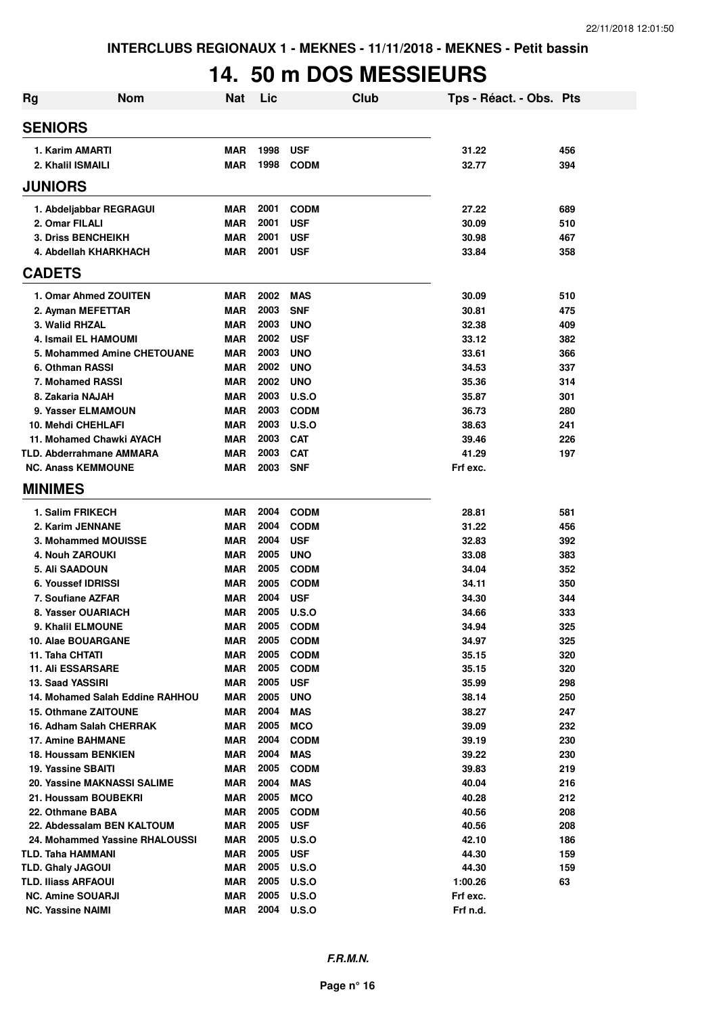# **14. 50 m DOS MESSIEURS**

| <b>Rg</b> | <b>Nom</b>                           | <b>Nat</b>               | Lic          |                            | Club | Tps - Réact. - Obs. Pts |            |
|-----------|--------------------------------------|--------------------------|--------------|----------------------------|------|-------------------------|------------|
|           | <b>SENIORS</b>                       |                          |              |                            |      |                         |            |
|           | 1. Karim AMARTI                      | <b>MAR</b>               | 1998         | <b>USF</b>                 |      | 31.22                   | 456        |
|           | 2. Khalil ISMAILI                    | <b>MAR</b>               | 1998         | <b>CODM</b>                |      | 32.77                   | 394        |
|           | <b>JUNIORS</b>                       |                          |              |                            |      |                         |            |
|           | 1. Abdeljabbar REGRAGUI              | <b>MAR</b>               | 2001         | <b>CODM</b>                |      | 27.22                   | 689        |
|           | 2. Omar FILALI                       | <b>MAR</b>               | 2001         | <b>USF</b>                 |      | 30.09                   | 510        |
|           | <b>3. Driss BENCHEIKH</b>            | <b>MAR</b>               | 2001         | <b>USF</b>                 |      | 30.98                   | 467        |
|           | 4. Abdellah KHARKHACH                | <b>MAR</b>               | 2001         | <b>USF</b>                 |      | 33.84                   | 358        |
|           | <b>CADETS</b>                        |                          |              |                            |      |                         |            |
|           | 1. Omar Ahmed ZOUITEN                | <b>MAR</b>               | 2002         | <b>MAS</b>                 |      | 30.09                   | 510        |
|           | 2. Ayman MEFETTAR                    | <b>MAR</b>               | 2003         | <b>SNF</b>                 |      | 30.81                   | 475        |
|           | 3. Walid RHZAL                       | <b>MAR</b>               | 2003         | <b>UNO</b>                 |      | 32.38                   | 409        |
|           | 4. Ismail EL HAMOUMI                 | <b>MAR</b>               | 2002         | <b>USF</b>                 |      | 33.12                   | 382        |
|           | 5. Mohammed Amine CHETOUANE          | <b>MAR</b>               | 2003         | <b>UNO</b>                 |      | 33.61                   | 366        |
|           | 6. Othman RASSI                      | <b>MAR</b>               | 2002         | <b>UNO</b>                 |      | 34.53                   | 337        |
|           | 7. Mohamed RASSI                     | <b>MAR</b>               | 2002         | <b>UNO</b>                 |      | 35.36                   | 314        |
|           | 8. Zakaria NAJAH                     | <b>MAR</b>               | 2003         | U.S.O                      |      | 35.87                   | 301        |
|           | 9. Yasser ELMAMOUN                   | <b>MAR</b>               | 2003         | <b>CODM</b>                |      | 36.73                   | 280        |
|           | 10. Mehdi CHEHLAFI                   | <b>MAR</b>               | 2003         | U.S.O                      |      | 38.63                   | 241        |
|           | 11. Mohamed Chawki AYACH             | <b>MAR</b>               | 2003         | <b>CAT</b>                 |      | 39.46                   | 226        |
|           | TLD. Abderrahmane AMMARA             | <b>MAR</b>               | 2003         | <b>CAT</b>                 |      | 41.29                   | 197        |
|           | <b>NC. Anass KEMMOUNE</b>            | <b>MAR</b>               | 2003         | <b>SNF</b>                 |      | Frf exc.                |            |
|           | <b>MINIMES</b>                       |                          |              |                            |      |                         |            |
|           | 1. Salim FRIKECH                     | <b>MAR</b>               | 2004         | <b>CODM</b>                |      | 28.81                   | 581        |
|           | 2. Karim JENNANE                     | <b>MAR</b>               | 2004         | <b>CODM</b>                |      | 31.22                   | 456        |
|           | 3. Mohammed MOUISSE                  | <b>MAR</b>               | 2004         | <b>USF</b>                 |      | 32.83                   | 392        |
|           | <b>4. Nouh ZAROUKI</b>               | <b>MAR</b>               | 2005         | <b>UNO</b>                 |      | 33.08                   | 383        |
|           | 5. Ali SAADOUN                       | <b>MAR</b>               | 2005         | <b>CODM</b>                |      | 34.04                   | 352        |
|           | 6. Youssef IDRISSI                   | <b>MAR</b>               | 2005         | <b>CODM</b>                |      | 34.11                   | 350        |
|           | 7. Soufiane AZFAR                    | <b>MAR</b>               | 2004         | <b>USF</b>                 |      | 34.30                   | 344        |
|           | 8. Yasser OUARIACH                   | <b>MAR</b>               | 2005         | <b>U.S.O</b>               |      | 34.66                   | 333        |
|           | 9. Khalil ELMOUNE                    | <b>MAR</b>               | 2005         | <b>CODM</b>                |      | 34.94                   | 325        |
|           | 10. Alae BOUARGANE                   | <b>MAR</b>               | 2005         | <b>CODM</b>                |      | 34.97                   | 325        |
|           | 11. Taha CHTATI<br>11. Ali ESSARSARE | <b>MAR</b><br><b>MAR</b> | 2005<br>2005 | <b>CODM</b><br><b>CODM</b> |      | 35.15<br>35.15          | 320<br>320 |
|           | 13. Saad YASSIRI                     | <b>MAR</b>               | 2005         | <b>USF</b>                 |      | 35.99                   | 298        |
|           | 14. Mohamed Salah Eddine RAHHOU      | <b>MAR</b>               | 2005         | <b>UNO</b>                 |      | 38.14                   | 250        |
|           | <b>15. Othmane ZAITOUNE</b>          | <b>MAR</b>               | 2004         | <b>MAS</b>                 |      | 38.27                   | 247        |
|           | 16. Adham Salah CHERRAK              | <b>MAR</b>               | 2005         | <b>MCO</b>                 |      | 39.09                   | 232        |
|           | 17. Amine BAHMANE                    | <b>MAR</b>               | 2004         | <b>CODM</b>                |      | 39.19                   | 230        |
|           | 18. Houssam BENKIEN                  | <b>MAR</b>               | 2004         | <b>MAS</b>                 |      | 39.22                   | 230        |
|           | 19. Yassine SBAITI                   | <b>MAR</b>               | 2005         | <b>CODM</b>                |      | 39.83                   | 219        |
|           | 20. Yassine MAKNASSI SALIME          | <b>MAR</b>               | 2004         | <b>MAS</b>                 |      | 40.04                   | 216        |
|           | 21. Houssam BOUBEKRI                 | <b>MAR</b>               | 2005         | <b>MCO</b>                 |      | 40.28                   | 212        |
|           | 22. Othmane BABA                     | MAR                      | 2005         | <b>CODM</b>                |      | 40.56                   | 208        |
|           | 22. Abdessalam BEN KALTOUM           | <b>MAR</b>               | 2005         | <b>USF</b>                 |      | 40.56                   | 208        |
|           | 24. Mohammed Yassine RHALOUSSI       | <b>MAR</b>               | 2005         | <b>U.S.O</b>               |      | 42.10                   | 186        |
|           | TLD. Taha HAMMANI                    | <b>MAR</b>               | 2005         | <b>USF</b>                 |      | 44.30                   | 159        |
|           | <b>TLD. Ghaly JAGOUI</b>             | <b>MAR</b>               | 2005         | <b>U.S.O</b>               |      | 44.30                   | 159        |
|           | TLD. Iliass ARFAOUI                  | <b>MAR</b>               | 2005         | <b>U.S.O</b>               |      | 1:00.26                 | 63         |
|           | <b>NC. Amine SOUARJI</b>             | <b>MAR</b>               | 2005         | <b>U.S.O</b>               |      | Frf exc.                |            |
|           | <b>NC. Yassine NAIMI</b>             | <b>MAR</b>               | 2004         | U.S.O                      |      | Frf n.d.                |            |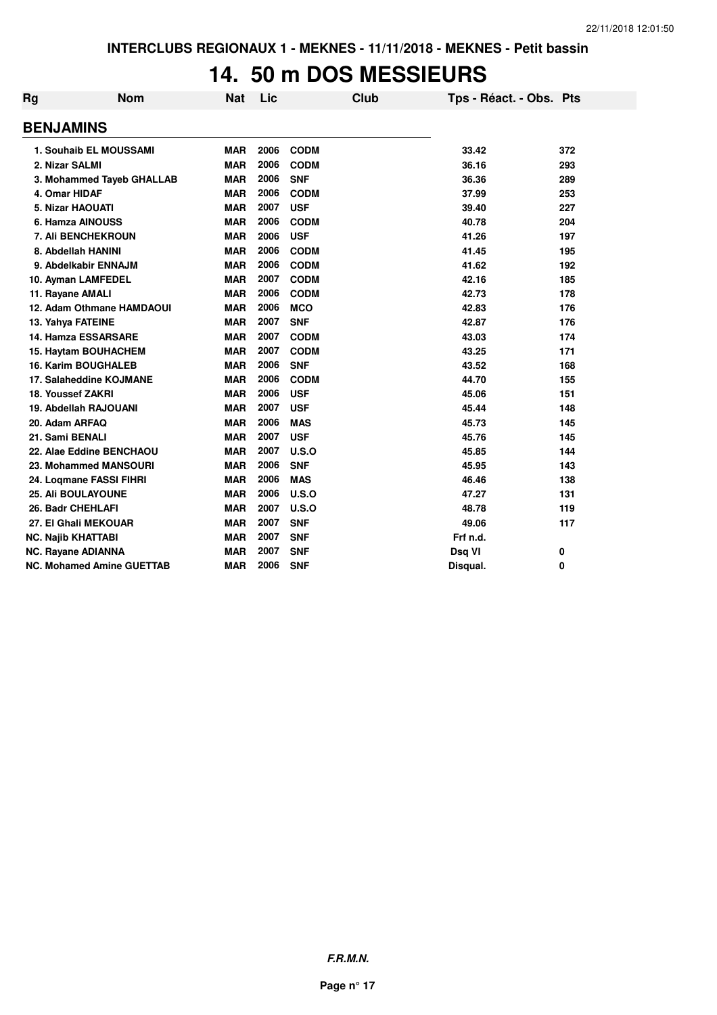#### **14. 50 m DOS MESSIEURS**

| Rg                        | <b>Nom</b>                       | Nat        | Lic  | Club        | Tps - Réact. - Obs. Pts |     |
|---------------------------|----------------------------------|------------|------|-------------|-------------------------|-----|
| <b>BENJAMINS</b>          |                                  |            |      |             |                         |     |
|                           | 1. Souhaib EL MOUSSAMI           | <b>MAR</b> | 2006 | <b>CODM</b> | 33.42                   | 372 |
| 2. Nizar SALMI            |                                  | <b>MAR</b> | 2006 | <b>CODM</b> | 36.16                   | 293 |
|                           | 3. Mohammed Tayeb GHALLAB        | <b>MAR</b> | 2006 | <b>SNF</b>  | 36.36                   | 289 |
| 4. Omar HIDAF             |                                  | <b>MAR</b> | 2006 | <b>CODM</b> | 37.99                   | 253 |
| 5. Nizar HAOUATI          |                                  | <b>MAR</b> | 2007 | <b>USF</b>  | 39.40                   | 227 |
|                           | 6. Hamza AINOUSS                 | <b>MAR</b> | 2006 | <b>CODM</b> | 40.78                   | 204 |
|                           | <b>7. Ali BENCHEKROUN</b>        | <b>MAR</b> | 2006 | <b>USF</b>  | 41.26                   | 197 |
|                           | 8. Abdellah HANINI               | <b>MAR</b> | 2006 | <b>CODM</b> | 41.45                   | 195 |
|                           | 9. Abdelkabir ENNAJM             | <b>MAR</b> | 2006 | <b>CODM</b> | 41.62                   | 192 |
|                           | 10. Ayman LAMFEDEL               | <b>MAR</b> | 2007 | <b>CODM</b> | 42.16                   | 185 |
| 11. Rayane AMALI          |                                  | <b>MAR</b> | 2006 | <b>CODM</b> | 42.73                   | 178 |
|                           | 12. Adam Othmane HAMDAOUI        | <b>MAR</b> | 2006 | <b>MCO</b>  | 42.83                   | 176 |
| 13. Yahya FATEINE         |                                  | <b>MAR</b> | 2007 | <b>SNF</b>  | 42.87                   | 176 |
|                           | 14. Hamza ESSARSARE              | <b>MAR</b> | 2007 | <b>CODM</b> | 43.03                   | 174 |
|                           | 15. Haytam BOUHACHEM             | <b>MAR</b> | 2007 | <b>CODM</b> | 43.25                   | 171 |
|                           | <b>16. Karim BOUGHALEB</b>       | <b>MAR</b> | 2006 | <b>SNF</b>  | 43.52                   | 168 |
|                           | 17. Salaheddine KOJMANE          | <b>MAR</b> | 2006 | <b>CODM</b> | 44.70                   | 155 |
| 18. Youssef ZAKRI         |                                  | <b>MAR</b> | 2006 | <b>USF</b>  | 45.06                   | 151 |
|                           | 19. Abdellah RAJOUANI            | <b>MAR</b> | 2007 | <b>USF</b>  | 45.44                   | 148 |
| 20. Adam ARFAQ            |                                  | <b>MAR</b> | 2006 | <b>MAS</b>  | 45.73                   | 145 |
| 21. Sami BENALI           |                                  | <b>MAR</b> | 2007 | <b>USF</b>  | 45.76                   | 145 |
|                           | 22. Alae Eddine BENCHAOU         | <b>MAR</b> | 2007 | U.S.O       | 45.85                   | 144 |
|                           | 23. Mohammed MANSOURI            | <b>MAR</b> | 2006 | <b>SNF</b>  | 45.95                   | 143 |
|                           | 24. Logmane FASSI FIHRI          | <b>MAR</b> | 2006 | <b>MAS</b>  | 46.46                   | 138 |
|                           | <b>25. Ali BOULAYOUNE</b>        | <b>MAR</b> | 2006 | U.S.O       | 47.27                   | 131 |
| 26. Badr CHEHLAFI         |                                  | <b>MAR</b> | 2007 | U.S.O       | 48.78                   | 119 |
|                           | 27. El Ghali MEKOUAR             | <b>MAR</b> | 2007 | <b>SNF</b>  | 49.06                   | 117 |
| <b>NC. Najib KHATTABI</b> |                                  | <b>MAR</b> | 2007 | <b>SNF</b>  | Frf n.d.                |     |
| <b>NC. Rayane ADIANNA</b> |                                  | <b>MAR</b> | 2007 | <b>SNF</b>  | Dsq VI                  | 0   |
|                           | <b>NC. Mohamed Amine GUETTAB</b> | <b>MAR</b> | 2006 | <b>SNF</b>  | Disqual.                | 0   |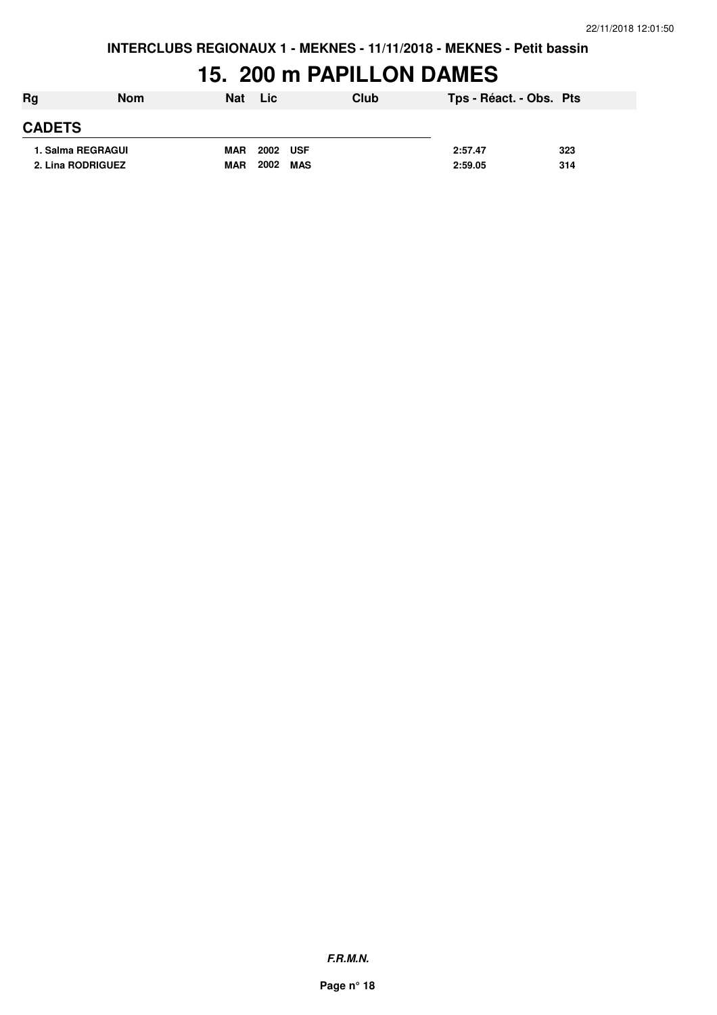#### **15. 200 m PAPILLON DAMES**

| Rg            | <b>Nom</b>        | <b>Nat</b> | Lic         | Club | Tps - Réact. - Obs. Pts |     |
|---------------|-------------------|------------|-------------|------|-------------------------|-----|
| <b>CADETS</b> |                   |            |             |      |                         |     |
|               | 1. Salma REGRAGUI | <b>MAR</b> | 2002 USF    |      | 2:57.47                 | 323 |
|               | 2. Lina RODRIGUEZ | <b>MAR</b> | 2002<br>MAS |      | 2:59.05                 | 314 |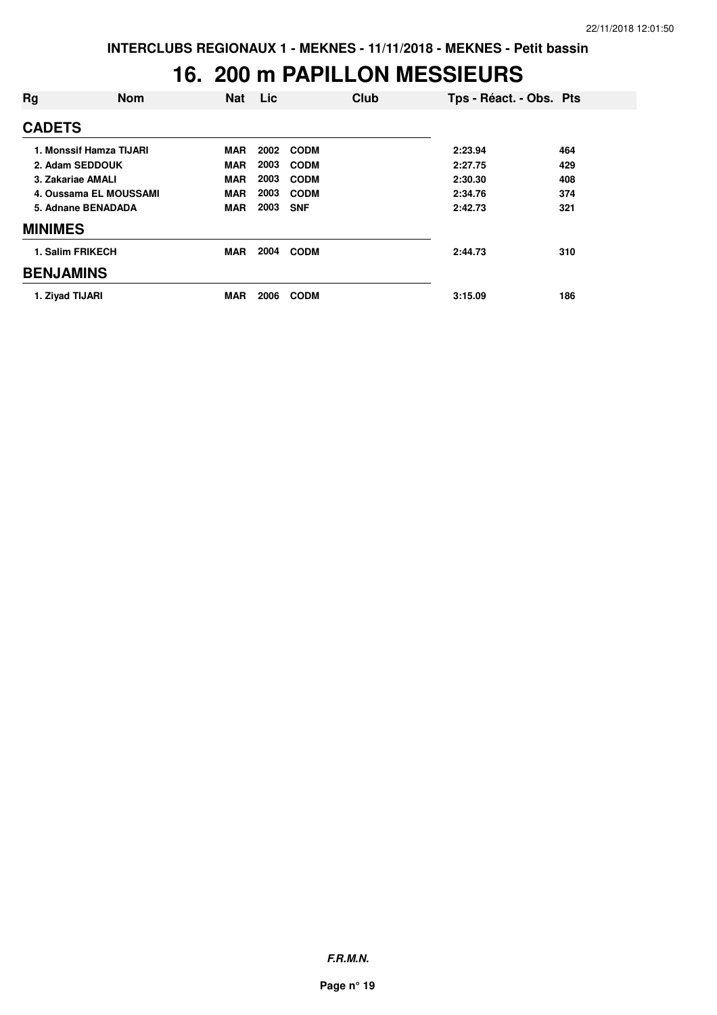#### **16. 200 m PAPILLON MESSIEURS**

| Rg               | <b>Nom</b>              | <b>Nat</b> | Lic  | Club        | Tps - Réact. - Obs. Pts |     |
|------------------|-------------------------|------------|------|-------------|-------------------------|-----|
| <b>CADETS</b>    |                         |            |      |             |                         |     |
|                  | 1. Monssif Hamza TIJARI | <b>MAR</b> | 2002 | <b>CODM</b> | 2:23.94                 | 464 |
|                  | 2. Adam SEDDOUK         | <b>MAR</b> | 2003 | <b>CODM</b> | 2:27.75                 | 429 |
|                  | 3. Zakariae AMALI       | <b>MAR</b> | 2003 | <b>CODM</b> | 2:30.30                 | 408 |
|                  | 4. Oussama EL MOUSSAMI  | <b>MAR</b> | 2003 | <b>CODM</b> | 2:34.76                 | 374 |
|                  | 5. Adnane BENADADA      | <b>MAR</b> | 2003 | <b>SNF</b>  | 2:42.73                 | 321 |
| <b>MINIMES</b>   |                         |            |      |             |                         |     |
|                  | 1. Salim FRIKECH        | <b>MAR</b> | 2004 | <b>CODM</b> | 2:44.73                 | 310 |
| <b>BENJAMINS</b> |                         |            |      |             |                         |     |
|                  | 1. Ziyad TIJARI         | <b>MAR</b> | 2006 | <b>CODM</b> | 3:15.09                 | 186 |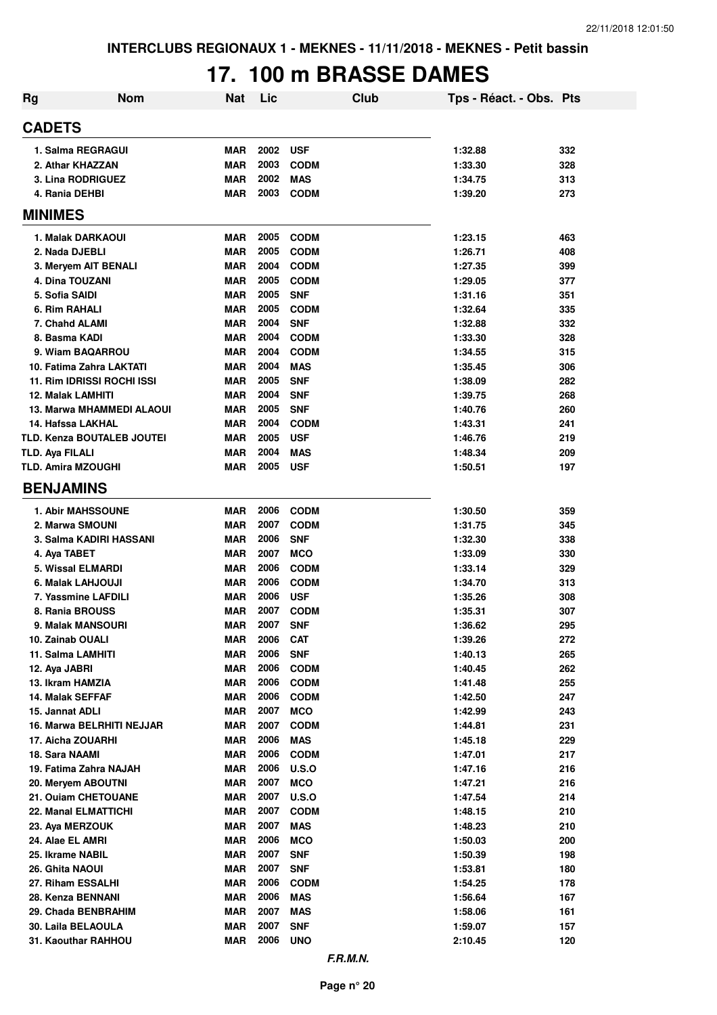# **17. 100 m BRASSE DAMES**

| Rg                                   | <b>Nom</b>                        | <b>Nat</b>               | Lic          | <b>Club</b>                | Tps - Réact. - Obs. Pts |            |
|--------------------------------------|-----------------------------------|--------------------------|--------------|----------------------------|-------------------------|------------|
| <b>CADETS</b>                        |                                   |                          |              |                            |                         |            |
|                                      | 1. Salma REGRAGUI                 | <b>MAR</b>               | 2002         | <b>USF</b>                 | 1:32.88                 | 332        |
|                                      | 2. Athar KHAZZAN                  | <b>MAR</b>               | 2003         | <b>CODM</b>                | 1:33.30                 | 328        |
|                                      | 3. Lina RODRIGUEZ                 | <b>MAR</b>               | 2002         | <b>MAS</b>                 | 1:34.75                 | 313        |
| 4. Rania DEHBI                       |                                   | <b>MAR</b>               | 2003         | <b>CODM</b>                | 1:39.20                 | 273        |
| <b>MINIMES</b>                       |                                   |                          |              |                            |                         |            |
|                                      | 1. Malak DARKAOUI                 | <b>MAR</b>               | 2005         | <b>CODM</b>                | 1:23.15                 | 463        |
| 2. Nada DJEBLI                       |                                   | <b>MAR</b>               | 2005         | <b>CODM</b>                | 1:26.71                 | 408        |
|                                      | 3. Meryem AIT BENALI              | <b>MAR</b>               | 2004         | <b>CODM</b>                | 1:27.35                 | 399        |
| 4. Dina TOUZANI                      |                                   | <b>MAR</b>               | 2005         | <b>CODM</b>                | 1:29.05                 | 377        |
| 5. Sofia SAIDI                       |                                   | <b>MAR</b>               | 2005         | <b>SNF</b>                 | 1:31.16                 | 351        |
| 6. Rim RAHALI                        |                                   | <b>MAR</b>               | 2005         | <b>CODM</b>                | 1:32.64                 | 335        |
| 7. Chahd ALAMI                       |                                   | <b>MAR</b>               | 2004         | <b>SNF</b>                 | 1:32.88                 | 332        |
| 8. Basma KADI                        |                                   | <b>MAR</b>               | 2004         | <b>CODM</b>                | 1:33.30                 | 328        |
|                                      | 9. Wiam BAQARROU                  | <b>MAR</b>               | 2004         | <b>CODM</b>                | 1:34.55                 | 315        |
|                                      | 10. Fatima Zahra LAKTATI          | <b>MAR</b>               | 2004         | <b>MAS</b>                 | 1:35.45                 | 306        |
|                                      | 11. Rim IDRISSI ROCHI ISSI        | <b>MAR</b>               | 2005         | <b>SNF</b>                 | 1:38.09                 | 282        |
| <b>12. Malak LAMHITI</b>             |                                   | <b>MAR</b>               | 2004         | <b>SNF</b>                 | 1:39.75                 | 268        |
|                                      | 13. Marwa MHAMMEDI ALAOUI         | <b>MAR</b>               | 2005         | <b>SNF</b>                 | 1:40.76                 | 260        |
| 14. Hafssa LAKHAL                    |                                   | <b>MAR</b>               | 2004         | <b>CODM</b>                | 1:43.31                 | 241        |
|                                      | <b>TLD. Kenza BOUTALEB JOUTEI</b> | <b>MAR</b>               | 2005         | <b>USF</b>                 | 1:46.76                 | 219        |
| TLD. Aya FILALI                      |                                   | <b>MAR</b>               | 2004         | <b>MAS</b>                 | 1:48.34                 | 209        |
| <b>TLD. Amira MZOUGHI</b>            |                                   | <b>MAR</b>               | 2005         | <b>USF</b>                 | 1:50.51                 | 197        |
| <b>BENJAMINS</b>                     |                                   |                          |              |                            |                         |            |
|                                      | <b>1. Abir MAHSSOUNE</b>          | <b>MAR</b>               | 2006         | <b>CODM</b>                | 1:30.50                 | 359        |
|                                      | 2. Marwa SMOUNI                   | <b>MAR</b>               | 2007         | <b>CODM</b>                | 1:31.75                 | 345        |
|                                      | 3. Salma KADIRI HASSANI           | <b>MAR</b>               | 2006         | <b>SNF</b>                 | 1:32.30                 | 338        |
| 4. Aya TABET                         |                                   | <b>MAR</b>               | 2007         | <b>MCO</b>                 | 1:33.09                 | 330        |
|                                      | 5. Wissal ELMARDI                 | <b>MAR</b>               | 2006         | <b>CODM</b>                | 1:33.14                 | 329        |
|                                      | 6. Malak LAHJOUJI                 | <b>MAR</b>               | 2006         | <b>CODM</b>                | 1:34.70                 | 313        |
|                                      | 7. Yassmine LAFDILI               | <b>MAR</b>               | 2006         | <b>USF</b>                 | 1:35.26                 | 308        |
|                                      | 8. Rania BROUSS                   | <b>MAR</b>               | 2007         | <b>CODM</b>                | 1:35.31                 | 307        |
|                                      | 9. Malak MANSOURI                 | <b>MAR</b>               | 2007         | <b>SNF</b>                 | 1:36.62                 | 295        |
| 10. Zainab OUALI                     |                                   | <b>MAR</b>               | 2006         | <b>CAT</b>                 | 1:39.26                 | 272        |
| 11. Salma LAMHITI                    |                                   | <b>MAR</b>               | 2006         | <b>SNF</b>                 | 1:40.13                 | 265        |
| 12. Aya JABRI                        |                                   | <b>MAR</b>               | 2006         | <b>CODM</b>                | 1:40.45                 | 262        |
| 13. Ikram HAMZIA<br>14. Malak SEFFAF |                                   | <b>MAR</b>               | 2006<br>2006 | <b>CODM</b><br><b>CODM</b> | 1:41.48                 | 255        |
| 15. Jannat ADLI                      |                                   | <b>MAR</b><br><b>MAR</b> | 2007         | <b>MCO</b>                 | 1:42.50<br>1:42.99      | 247<br>243 |
|                                      | 16. Marwa BELRHITI NEJJAR         | <b>MAR</b>               | 2007         | <b>CODM</b>                | 1:44.81                 | 231        |
| 17. Aicha ZOUARHI                    |                                   | <b>MAR</b>               | 2006         | <b>MAS</b>                 | 1:45.18                 | 229        |
| 18. Sara NAAMI                       |                                   | <b>MAR</b>               | 2006         | <b>CODM</b>                | 1:47.01                 | 217        |
|                                      | 19. Fatima Zahra NAJAH            | <b>MAR</b>               | 2006         | <b>U.S.O</b>               | 1:47.16                 | 216        |
|                                      | 20. Meryem ABOUTNI                | <b>MAR</b>               | 2007         | <b>MCO</b>                 | 1:47.21                 | 216        |
|                                      | 21. Ouiam CHETOUANE               | <b>MAR</b>               | 2007         | U.S.O                      | 1:47.54                 | 214        |
|                                      | 22. Manal ELMATTICHI              | <b>MAR</b>               | 2007         | <b>CODM</b>                | 1:48.15                 | 210        |
| 23. Aya MERZOUK                      |                                   | <b>MAR</b>               | 2007         | <b>MAS</b>                 | 1:48.23                 | 210        |
| 24. Alae EL AMRI                     |                                   | <b>MAR</b>               | 2006         | <b>MCO</b>                 | 1:50.03                 | 200        |
| 25. Ikrame NABIL                     |                                   | <b>MAR</b>               | 2007         | <b>SNF</b>                 | 1:50.39                 | 198        |
| 26. Ghita NAOUI                      |                                   | <b>MAR</b>               | 2007         | <b>SNF</b>                 | 1:53.81                 | 180        |
| 27. Riham ESSALHI                    |                                   | <b>MAR</b>               | 2006         | <b>CODM</b>                | 1:54.25                 | 178        |
|                                      | 28. Kenza BENNANI                 | <b>MAR</b>               | 2006         | <b>MAS</b>                 | 1:56.64                 | 167        |
|                                      | 29. Chada BENBRAHIM               | <b>MAR</b>               | 2007         | <b>MAS</b>                 | 1:58.06                 | 161        |
|                                      | 30. Laila BELAOULA                | <b>MAR</b>               | 2007         | <b>SNF</b>                 | 1:59.07                 | 157        |
|                                      | 31. Kaouthar RAHHOU               | <b>MAR</b>               | 2006         | <b>UNO</b>                 | 2:10.45                 | 120        |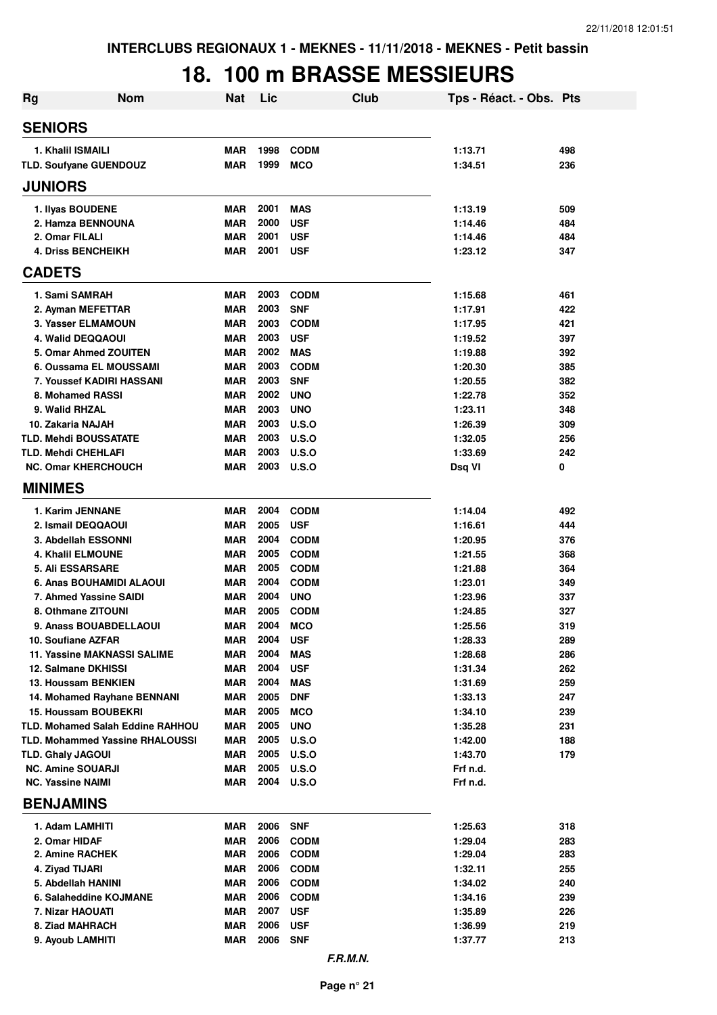### **18. 100 m BRASSE MESSIEURS**

| <b>Nom</b><br>Rg                                | <b>Nat</b>               | Lic          | Club                       | Tps - Réact. - Obs. Pts |            |
|-------------------------------------------------|--------------------------|--------------|----------------------------|-------------------------|------------|
| <b>SENIORS</b>                                  |                          |              |                            |                         |            |
| 1. Khalil ISMAILI                               | <b>MAR</b>               | 1998         | <b>CODM</b>                | 1:13.71                 | 498        |
| TLD. Soufyane GUENDOUZ                          | <b>MAR</b>               | 1999         | <b>MCO</b>                 | 1:34.51                 | 236        |
| <b>JUNIORS</b>                                  |                          |              |                            |                         |            |
| 1. Ilyas BOUDENE                                | <b>MAR</b>               | 2001         | <b>MAS</b>                 | 1:13.19                 | 509        |
| 2. Hamza BENNOUNA                               | <b>MAR</b>               | 2000         | <b>USF</b>                 | 1:14.46                 | 484        |
| 2. Omar FILALI                                  | MAR                      | 2001         | <b>USF</b>                 | 1:14.46                 | 484        |
| <b>4. Driss BENCHEIKH</b>                       | <b>MAR</b>               | 2001         | <b>USF</b>                 | 1:23.12                 | 347        |
| <b>CADETS</b>                                   |                          |              |                            |                         |            |
| 1. Sami SAMRAH                                  | <b>MAR</b>               | 2003         | <b>CODM</b>                | 1:15.68                 | 461        |
| 2. Ayman MEFETTAR                               | <b>MAR</b>               | 2003         | <b>SNF</b>                 | 1:17.91                 | 422        |
| 3. Yasser ELMAMOUN                              | <b>MAR</b>               | 2003         | <b>CODM</b>                | 1:17.95                 | 421        |
| <b>4. Walid DEQQAOUI</b>                        | <b>MAR</b>               | 2003<br>2002 | <b>USF</b>                 | 1:19.52                 | 397        |
| 5. Omar Ahmed ZOUITEN<br>6. Oussama EL MOUSSAMI | <b>MAR</b><br><b>MAR</b> | 2003         | <b>MAS</b><br><b>CODM</b>  | 1:19.88<br>1:20.30      | 392<br>385 |
| 7. Youssef KADIRI HASSANI                       | MAR                      | 2003         | <b>SNF</b>                 | 1:20.55                 | 382        |
| 8. Mohamed RASSI                                | <b>MAR</b>               | 2002         | <b>UNO</b>                 | 1:22.78                 | 352        |
| 9. Walid RHZAL                                  | <b>MAR</b>               | 2003         | <b>UNO</b>                 | 1:23.11                 | 348        |
| 10. Zakaria NAJAH                               | <b>MAR</b>               | 2003         | U.S.O                      | 1:26.39                 | 309        |
| <b>TLD. Mehdi BOUSSATATE</b>                    | MAR                      | 2003         | U.S.O                      | 1:32.05                 | 256        |
| <b>TLD. Mehdi CHEHLAFI</b>                      | MAR                      | 2003         | U.S.O                      | 1:33.69                 | 242        |
| <b>NC. Omar KHERCHOUCH</b>                      | MAR                      | 2003         | U.S.O                      | Dsq VI                  | 0          |
| <b>MINIMES</b>                                  |                          |              |                            |                         |            |
| 1. Karim JENNANE                                | <b>MAR</b>               | 2004         | <b>CODM</b>                | 1:14.04                 | 492        |
| 2. Ismail DEQQAOUI                              | <b>MAR</b>               | 2005         | <b>USF</b>                 | 1:16.61                 | 444        |
| 3. Abdellah ESSONNI                             | <b>MAR</b>               | 2004         | <b>CODM</b>                | 1:20.95                 | 376        |
| <b>4. Khalil ELMOUNE</b>                        | <b>MAR</b>               | 2005         | <b>CODM</b>                | 1:21.55                 | 368        |
| <b>5. Ali ESSARSARE</b>                         | MAR                      | 2005         | <b>CODM</b>                | 1:21.88                 | 364        |
| 6. Anas BOUHAMIDI ALAOUI                        | MAR                      | 2004         | <b>CODM</b>                | 1:23.01                 | 349        |
| 7. Ahmed Yassine SAIDI                          | <b>MAR</b>               | 2004         | <b>UNO</b>                 | 1:23.96                 | 337        |
| 8. Othmane ZITOUNI                              | <b>MAR</b>               | 2005         | <b>CODM</b>                | 1:24.85                 | 327        |
| 9. Anass BOUABDELLAOUI<br>10. Soufiane AZFAR    | MAR<br>MAR               | 2004<br>2004 | <b>MCO</b><br><b>USF</b>   | 1:25.56<br>1:28.33      | 319<br>289 |
| <b>11. Yassine MAKNASSI SALIME</b>              | MAR                      | 2004         | <b>MAS</b>                 | 1:28.68                 | 286        |
| 12. Salmane DKHISSI                             | MAR                      | 2004         | <b>USF</b>                 | 1:31.34                 | 262        |
| 13. Houssam BENKIEN                             | MAR                      | 2004         | <b>MAS</b>                 | 1:31.69                 | 259        |
| 14. Mohamed Rayhane BENNANI                     | MAR                      | 2005         | <b>DNF</b>                 | 1:33.13                 | 247        |
| <b>15. Houssam BOUBEKRI</b>                     | MAR                      | 2005         | <b>MCO</b>                 | 1:34.10                 | 239        |
| <b>TLD. Mohamed Salah Eddine RAHHOU</b>         | MAR                      | 2005         | <b>UNO</b>                 | 1:35.28                 | 231        |
| <b>TLD. Mohammed Yassine RHALOUSSI</b>          | <b>MAR</b>               | 2005         | U.S.O                      | 1:42.00                 | 188        |
| <b>TLD. Ghaly JAGOUI</b>                        | <b>MAR</b>               | 2005         | U.S.O                      | 1:43.70                 | 179        |
| <b>NC. Amine SOUARJI</b>                        | <b>MAR</b>               | 2005         | <b>U.S.O</b>               | Frf n.d.                |            |
| <b>NC. Yassine NAIMI</b>                        | MAR                      | 2004         | U.S.O                      | Frf n.d.                |            |
| <b>BENJAMINS</b>                                |                          |              |                            |                         |            |
| 1. Adam LAMHITI                                 | <b>MAR</b>               | 2006         | <b>SNF</b>                 | 1:25.63                 | 318        |
| 2. Omar HIDAF<br>2. Amine RACHEK                | <b>MAR</b><br>MAR        | 2006<br>2006 | <b>CODM</b><br><b>CODM</b> | 1:29.04<br>1:29.04      | 283<br>283 |
| 4. Ziyad TIJARI                                 | MAR                      | 2006         | <b>CODM</b>                | 1:32.11                 | 255        |
| 5. Abdellah HANINI                              | MAR                      | 2006         | <b>CODM</b>                | 1:34.02                 | 240        |
| 6. Salaheddine KOJMANE                          | MAR                      | 2006         | <b>CODM</b>                | 1:34.16                 | 239        |
| 7. Nizar HAOUATI                                | MAR                      | 2007         | <b>USF</b>                 | 1:35.89                 | 226        |
| 8. Ziad MAHRACH                                 | <b>MAR</b>               | 2006         | <b>USF</b>                 | 1:36.99                 | 219        |
| 9. Ayoub LAMHITI                                | MAR                      | 2006         | <b>SNF</b>                 | 1:37.77                 | 213        |
|                                                 |                          |              | F.R.M.N.                   |                         |            |